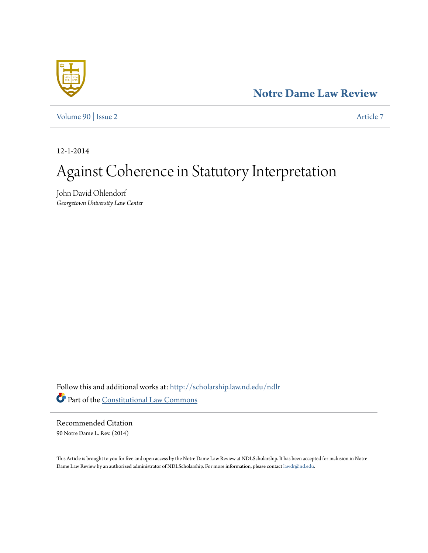# **[Notre Dame Law Review](http://scholarship.law.nd.edu/ndlr?utm_source=scholarship.law.nd.edu%2Fndlr%2Fvol90%2Fiss2%2F7&utm_medium=PDF&utm_campaign=PDFCoverPages)**

[Volume 90](http://scholarship.law.nd.edu/ndlr/vol90?utm_source=scholarship.law.nd.edu%2Fndlr%2Fvol90%2Fiss2%2F7&utm_medium=PDF&utm_campaign=PDFCoverPages) | [Issue 2](http://scholarship.law.nd.edu/ndlr/vol90/iss2?utm_source=scholarship.law.nd.edu%2Fndlr%2Fvol90%2Fiss2%2F7&utm_medium=PDF&utm_campaign=PDFCoverPages) [Article 7](http://scholarship.law.nd.edu/ndlr/vol90/iss2/7?utm_source=scholarship.law.nd.edu%2Fndlr%2Fvol90%2Fiss2%2F7&utm_medium=PDF&utm_campaign=PDFCoverPages)

12-1-2014

# Against Coherence in Statutory Interpretation

John David Ohlendorf *Georgetown University Law Center*

Follow this and additional works at: [http://scholarship.law.nd.edu/ndlr](http://scholarship.law.nd.edu/ndlr?utm_source=scholarship.law.nd.edu%2Fndlr%2Fvol90%2Fiss2%2F7&utm_medium=PDF&utm_campaign=PDFCoverPages) Part of the [Constitutional Law Commons](http://network.bepress.com/hgg/discipline/589?utm_source=scholarship.law.nd.edu%2Fndlr%2Fvol90%2Fiss2%2F7&utm_medium=PDF&utm_campaign=PDFCoverPages)

Recommended Citation 90 Notre Dame L. Rev. (2014)

This Article is brought to you for free and open access by the Notre Dame Law Review at NDLScholarship. It has been accepted for inclusion in Notre Dame Law Review by an authorized administrator of NDLScholarship. For more information, please contact [lawdr@nd.edu](mailto:lawdr@nd.edu).

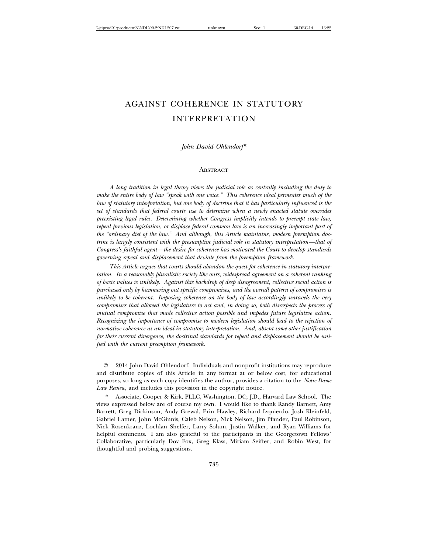# AGAINST COHERENCE IN STATUTORY INTERPRETATION

# *John David Ohlendorf\**

#### **ABSTRACT**

*A long tradition in legal theory views the judicial role as centrally including the duty to make the entire body of law "speak with one voice." This coherence ideal permeates much of the law of statutory interpretation, but one body of doctrine that it has particularly influenced is the set of standards that federal courts use to determine when a newly enacted statute overrides preexisting legal rules. Determining whether Congress implicitly intends to preempt state law, repeal previous legislation, or displace federal common law is an increasingly important part of the "ordinary diet of the law." And although, this Article maintains, modern preemption doctrine is largely consistent with the presumptive judicial role in statutory interpretation—that of Congress's faithful agent—the desire for coherence has motivated the Court to develop standards governing repeal and displacement that deviate from the preemption framework.*

*This Article argues that courts should abandon the quest for coherence in statutory interpretation. In a reasonably pluralistic society like ours, widespread agreement on a coherent ranking of basic values is unlikely. Against this backdrop of deep disagreement, collective social action is purchased only by hammering out specific compromises, and the overall pattern of compromises is unlikely to be coherent. Imposing coherence on the body of law accordingly unravels the very compromises that allowed the legislature to act and, in doing so, both disrespects the process of mutual compromise that made collective action possible and impedes future legislative action. Recognizing the importance of compromise to modern legislation should lead to the rejection of normative coherence as an ideal in statutory interpretation. And, absent some other justification for their current divergence, the doctrinal standards for repeal and displacement should be unified with the current preemption framework.*

<sup>2014</sup> John David Ohlendorf. Individuals and nonprofit institutions may reproduce and distribute copies of this Article in any format at or below cost, for educational purposes, so long as each copy identifies the author, provides a citation to the *Notre Dame Law Review*, and includes this provision in the copyright notice.

Associate, Cooper & Kirk, PLLC, Washington, DC; J.D., Harvard Law School. The views expressed below are of course my own. I would like to thank Randy Barnett, Amy Barrett, Greg Dickinson, Andy Grewal, Erin Hawley, Richard Izquierdo, Josh Kleinfeld, Gabriel Latner, John McGinnis, Caleb Nelson, Nick Nelson, Jim Pfander, Paul Robinson, Nick Rosenkranz, Lochlan Shelfer, Larry Solum, Justin Walker, and Ryan Williams for helpful comments. I am also grateful to the participants in the Georgetown Fellows' Collaborative, particularly Dov Fox, Greg Klass, Miriam Seifter, and Robin West, for thoughtful and probing suggestions.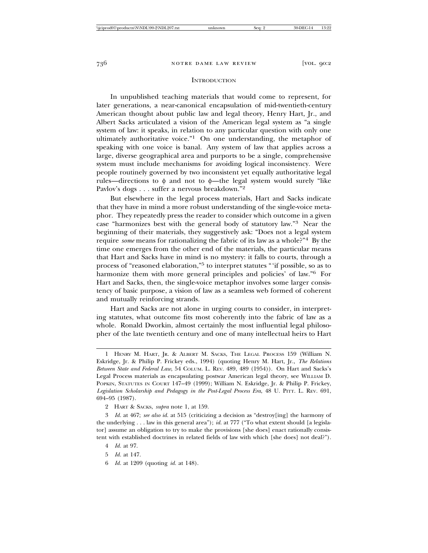#### **INTRODUCTION**

In unpublished teaching materials that would come to represent, for later generations, a near-canonical encapsulation of mid-twentieth-century American thought about public law and legal theory, Henry Hart, Jr., and Albert Sacks articulated a vision of the American legal system as "a single system of law: it speaks, in relation to any particular question with only one ultimately authoritative voice."1 On one understanding, the metaphor of speaking with one voice is banal. Any system of law that applies across a large, diverse geographical area and purports to be a single, comprehensive system must include mechanisms for avoiding logical inconsistency. Were people routinely governed by two inconsistent yet equally authoritative legal rules—directions to  $\phi$  and not to  $\phi$ —the legal system would surely "like Pavlov's dogs . . . suffer a nervous breakdown."<sup>2</sup>

But elsewhere in the legal process materials, Hart and Sacks indicate that they have in mind a more robust understanding of the single-voice metaphor. They repeatedly press the reader to consider which outcome in a given case "harmonizes best with the general body of statutory law."3 Near the beginning of their materials, they suggestively ask: "Does not a legal system require *some* means for rationalizing the fabric of its law as a whole?"4 By the time one emerges from the other end of the materials, the particular means that Hart and Sacks have in mind is no mystery: it falls to courts, through a process of "reasoned elaboration,"5 to interpret statutes "'if possible, so as to harmonize them with more general principles and policies' of law."<sup>6</sup> For Hart and Sacks, then, the single-voice metaphor involves some larger consistency of basic purpose, a vision of law as a seamless web formed of coherent and mutually reinforcing strands.

Hart and Sacks are not alone in urging courts to consider, in interpreting statutes, what outcome fits most coherently into the fabric of law as a whole. Ronald Dworkin, almost certainly the most influential legal philosopher of the late twentieth century and one of many intellectual heirs to Hart

3 *Id.* at 467; *see also id.* at 515 (criticizing a decision as "destroy[ing] the harmony of the underlying . . . law in this general area"); *id.* at 777 ("To what extent should [a legislator] assume an obligation to try to make the provisions [she does] enact rationally consistent with established doctrines in related fields of law with which [she does] not deal?").

- 5 *Id.* at 147.
- 6 *Id.* at 1209 (quoting *id.* at 148).

HENRY M. HART, JR. & ALBERT M. SACKS, THE LEGAL PROCESS 159 (William N. Eskridge, Jr. & Philip P. Frickey eds., 1994) (quoting Henry M. Hart, Jr., *The Relations Between State and Federal Law*, 54 COLUM. L. REV. 489, 489 (1954)). On Hart and Sacks's Legal Process materials as encapsulating postwar American legal theory, see WILLIAM D. POPKIN, STATUTES IN COURT 147–49 (1999); William N. Eskridge, Jr. & Philip P. Frickey, *Legislation Scholarship and Pedagogy in the Post-Legal Process Era*, 48 U. PITT. L. REV. 691, 694–95 (1987).

<sup>2</sup> HART & SACKS, *supra* note 1, at 159.

<sup>4</sup> *Id.* at 97.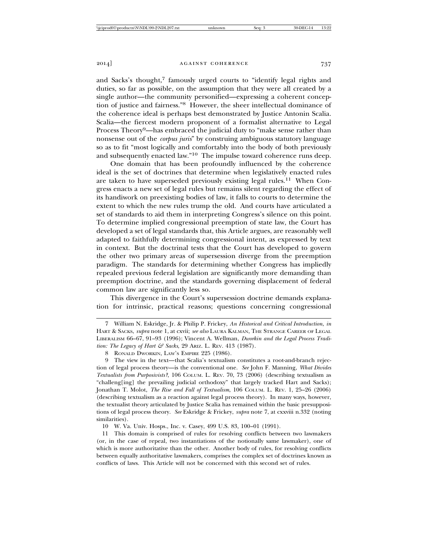and Sacks's thought,<sup>7</sup> famously urged courts to "identify legal rights and duties, so far as possible, on the assumption that they were all created by a single author—the community personified—expressing a coherent conception of justice and fairness."8 However, the sheer intellectual dominance of the coherence ideal is perhaps best demonstrated by Justice Antonin Scalia. Scalia—the fiercest modern proponent of a formalist alternative to Legal Process Theory<sup>9</sup>—has embraced the judicial duty to "make sense rather than nonsense out of the *corpus juris*" by construing ambiguous statutory language so as to fit "most logically and comfortably into the body of both previously and subsequently enacted law."10 The impulse toward coherence runs deep.

One domain that has been profoundly influenced by the coherence ideal is the set of doctrines that determine when legislatively enacted rules are taken to have superseded previously existing legal rules.11 When Congress enacts a new set of legal rules but remains silent regarding the effect of its handiwork on preexisting bodies of law, it falls to courts to determine the extent to which the new rules trump the old. And courts have articulated a set of standards to aid them in interpreting Congress's silence on this point. To determine implied congressional preemption of state law, the Court has developed a set of legal standards that, this Article argues, are reasonably well adapted to faithfully determining congressional intent, as expressed by text in context. But the doctrinal tests that the Court has developed to govern the other two primary areas of supersession diverge from the preemption paradigm. The standards for determining whether Congress has impliedly repealed previous federal legislation are significantly more demanding than preemption doctrine, and the standards governing displacement of federal common law are significantly less so.

This divergence in the Court's supersession doctrine demands explanation for intrinsic, practical reasons; questions concerning congressional

10 W. Va. Univ. Hosps., Inc. v. Casey, 499 U.S. 83, 100–01 (1991).

11 This domain is comprised of rules for resolving conflicts between two lawmakers (or, in the case of repeal, two instantiations of the notionally same lawmaker), one of which is more authoritative than the other. Another body of rules, for resolving conflicts between equally authoritative lawmakers, comprises the complex set of doctrines known as conflicts of laws. This Article will not be concerned with this second set of rules.

<sup>7</sup> William N. Eskridge, Jr. & Philip P. Frickey, *An Historical and Critical Introduction*, *in* HART & SACKS, *supra* note 1, at cxvii; *see also* LAURA KALMAN, THE STRANGE CAREER OF LEGAL LIBERALISM 66–67, 91–93 (1996); Vincent A. Wellman, *Dworkin and the Legal Process Tradition: The Legacy of Hart & Sacks*, 29 ARIZ. L. REV. 413 (1987).

<sup>8</sup> RONALD DWORKIN, LAW'S EMPIRE 225 (1986).

<sup>9</sup> The view in the text—that Scalia's textualism constitutes a root-and-branch rejection of legal process theory—is the conventional one. *See* John F. Manning, *What Divides Textualists from Purposivists?*, 106 COLUM. L. REV. 70, 73 (2006) (describing textualism as "challeng[ing] the prevailing judicial orthodoxy" that largely tracked Hart and Sacks); Jonathan T. Molot, *The Rise and Fall of Textualism*, 106 COLUM. L. REV. 1, 25–26 (2006) (describing textualism as a reaction against legal process theory). In many ways, however, the textualist theory articulated by Justice Scalia has remained within the basic presuppositions of legal process theory. *See* Eskridge & Frickey, *supra* note 7, at cxxviii n.332 (noting similarities).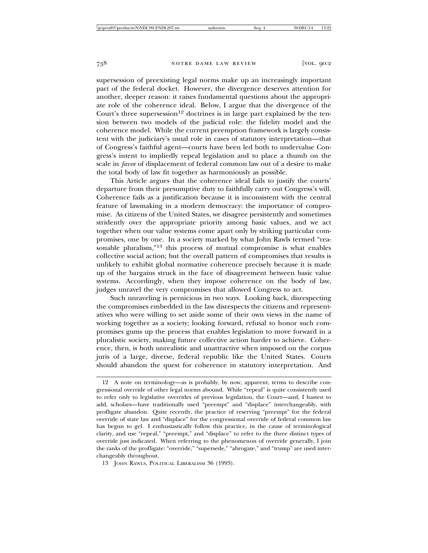supersession of preexisting legal norms make up an increasingly important part of the federal docket. However, the divergence deserves attention for another, deeper reason: it raises fundamental questions about the appropriate role of the coherence ideal. Below, I argue that the divergence of the Court's three supersession<sup>12</sup> doctrines is in large part explained by the tension between two models of the judicial role: the fidelity model and the coherence model. While the current preemption framework is largely consistent with the judiciary's usual role in cases of statutory interpretation—that of Congress's faithful agent—courts have been led both to undervalue Congress's intent to impliedly repeal legislation and to place a thumb on the scale in *favor* of displacement of federal common law out of a desire to make the total body of law fit together as harmoniously as possible.

This Article argues that the coherence ideal fails to justify the courts' departure from their presumptive duty to faithfully carry out Congress's will. Coherence fails as a justification because it is inconsistent with the central feature of lawmaking in a modern democracy: the importance of compromise. As citizens of the United States, we disagree persistently and sometimes stridently over the appropriate priority among basic values, and we act together when our value systems come apart only by striking particular compromises, one by one. In a society marked by what John Rawls termed "reasonable pluralism,"13 this process of mutual compromise is what enables collective social action; but the overall pattern of compromises that results is unlikely to exhibit global normative coherence precisely because it is made up of the bargains struck in the face of disagreement between basic value systems. Accordingly, when they impose coherence on the body of law, judges unravel the very compromises that allowed Congress to act.

Such unraveling is pernicious in two ways. Looking back, disrespecting the compromises embedded in the law disrespects the citizens and representatives who were willing to set aside some of their own views in the name of working together as a society; looking forward, refusal to honor such compromises gums up the process that enables legislation to move forward in a pluralistic society, making future collective action harder to achieve. Coherence, then, is both unrealistic and unattractive when imposed on the corpus juris of a large, diverse, federal republic like the United States. Courts should abandon the quest for coherence in statutory interpretation. And

<sup>12</sup> A note on terminology—as is probably, by now, apparent, terms to describe congressional override of other legal norms abound. While "repeal" is quite consistently used to refer only to legislative overrides of previous legislation, the Court—and, I hasten to add, scholars—have traditionally used "preempt" and "displace" interchangeably, with profligate abandon. Quite recently, the practice of reserving "preempt" for the federal override of state law and "displace" for the congressional override of federal common law has begun to gel. I enthusiastically follow this practice, in the cause of terminological clarity, and use "repeal," "preempt," and "displace" to refer to the three distinct types of override just indicated. When referring to the phenomenon of override generally, I join the ranks of the profligate: "override," "supersede," "abrogate," and "trump" are used interchangeably throughout.

<sup>13</sup> JOHN RAWLS, POLITICAL LIBERALISM 36 (1993).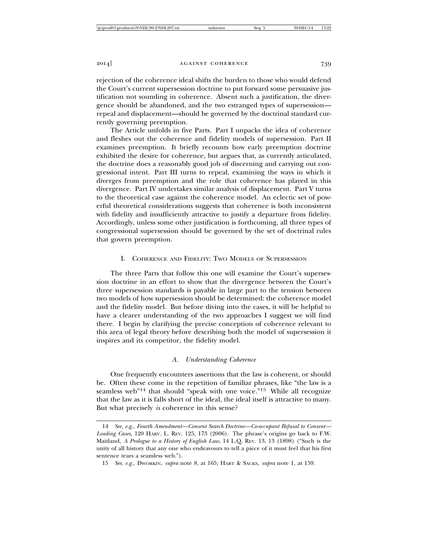rejection of the coherence ideal shifts the burden to those who would defend the Court's current supersession doctrine to put forward some persuasive justification not sounding in coherence. Absent such a justification, the divergence should be abandoned, and the two estranged types of supersession repeal and displacement—should be governed by the doctrinal standard currently governing preemption.

The Article unfolds in five Parts. Part I unpacks the idea of coherence and fleshes out the coherence and fidelity models of supersession. Part II examines preemption. It briefly recounts how early preemption doctrine exhibited the desire for coherence, but argues that, as currently articulated, the doctrine does a reasonably good job of discerning and carrying out congressional intent. Part III turns to repeal, examining the ways in which it diverges from preemption and the role that coherence has played in this divergence. Part IV undertakes similar analysis of displacement. Part V turns to the theoretical case against the coherence model. An eclectic set of powerful theoretical considerations suggests that coherence is both inconsistent with fidelity and insufficiently attractive to justify a departure from fidelity. Accordingly, unless some other justification is forthcoming, all three types of congressional supersession should be governed by the set of doctrinal rules that govern preemption.

# I. COHERENCE AND FIDELITY: TWO MODELS OF SUPERSESSION

The three Parts that follow this one will examine the Court's supersession doctrine in an effort to show that the divergence between the Court's three supersession standards is payable in large part to the tension between two models of how supersession should be determined: the coherence model and the fidelity model. But before diving into the cases, it will be helpful to have a clearer understanding of the two approaches I suggest we will find there. I begin by clarifying the precise conception of coherence relevant to this area of legal theory before describing both the model of supersession it inspires and its competitor, the fidelity model.

#### *A. Understanding Coherence*

One frequently encounters assertions that the law is coherent, or should be. Often these come in the repetition of familiar phrases, like "the law is a seamless web"<sup>14</sup> that should "speak with one voice."<sup>15</sup> While all recognize that the law as it is falls short of the ideal, the ideal itself is attractive to many. But what precisely *is* coherence in this sense?

<sup>14</sup> *See, e.g.*, *Fourth Amendment—Consent Search Doctrine—Co-occupant Refusal to Consent— Leading Cases*, 120 HARV. L. REV. 125, 173 (2006). The phrase's origins go back to F.W. Maitland, *A Prologue to a History of English Law*, 14 L.Q. REV. 13, 13 (1898) ("Such is the unity of all history that any one who endeavours to tell a piece of it must feel that his first sentence tears a seamless web.").

<sup>15</sup> *See, e.g.*, DWORKIN, *supra* note 8, at 165; HART & SACKS, *supra* note 1, at 159.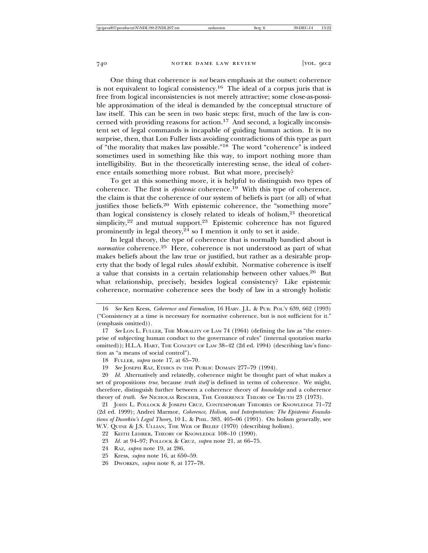One thing that coherence is *not* bears emphasis at the outset: coherence is not equivalent to logical consistency.16 The ideal of a corpus juris that is free from logical inconsistencies is not merely attractive; some close-as-possible approximation of the ideal is demanded by the conceptual structure of law itself. This can be seen in two basic steps: first, much of the law is concerned with providing reasons for action.17 And second, a logically inconsistent set of legal commands is incapable of guiding human action. It is no surprise, then, that Lon Fuller lists avoiding contradictions of this type as part of "the morality that makes law possible."18 The word "coherence" is indeed sometimes used in something like this way, to import nothing more than intelligibility. But in the theoretically interesting sense, the ideal of coherence entails something more robust. But what more, precisely?

To get at this something more, it is helpful to distinguish two types of coherence. The first is *epistemic* coherence.<sup>19</sup> With this type of coherence, the claim is that the coherence of our system of beliefs is part (or all) of what justifies those beliefs.<sup>20</sup> With epistemic coherence, the "something more" than logical consistency is closely related to ideals of holism,<sup>21</sup> theoretical simplicity,<sup>22</sup> and mutual support.<sup>23</sup> Epistemic coherence has not figured prominently in legal theory, $24$  so I mention it only to set it aside.

In legal theory, the type of coherence that is normally bandied about is *normative* coherence.<sup>25</sup> Here, coherence is not understood as part of what makes beliefs about the law true or justified, but rather as a desirable property that the body of legal rules *should* exhibit. Normative coherence is itself a value that consists in a certain relationship between other values.26 But what relationship, precisely, besides logical consistency? Like epistemic coherence, normative coherence sees the body of law in a strongly holistic

26 DWORKIN, *supra* note 8, at 177–78.

<sup>16</sup> *See* Ken Kress, *Coherence and Formalism*, 16 HARV. J.L. & PUB. POL'Y 639, 662 (1993) ("Consistency at a time is necessary for normative coherence, but is not sufficient for it." (emphasis omitted)).

<sup>17</sup> *See* LON L. FULLER, THE MORALITY OF LAW 74 (1964) (defining the law as "the enterprise of subjecting human conduct to the governance of rules" (internal quotation marks omitted)); H.L.A. HART, THE CONCEPT OF LAW 38–42 (2d ed. 1994) (describing law's function as "a means of social control").

<sup>18</sup> FULLER, *supra* note 17, at 65–70.

<sup>19</sup> *See* JOSEPH RAZ, ETHICS IN THE PUBLIC DOMAIN 277–79 (1994).

<sup>20</sup> *Id.* Alternatively and relatedly, coherence might be thought part of what makes a set of propositions *true*, because *truth itself* is defined in terms of coherence. We might, therefore, distinguish further between a coherence theory of *knowledge* and a coherence theory of *truth.* See NICHOLAS RESCHER, THE COHERENCE THEORY OF TRUTH 23 (1973).

<sup>21</sup> JOHN L. POLLOCK & JOSEPH CRUZ, CONTEMPORARY THEORIES OF KNOWLEDGE 71–72 (2d ed. 1999); Andrei Marmor, *Coherence, Holism, and Interpretation: The Epistemic Foundations of Dworkin's Legal Theory*, 10 L. & PHIL. 383, 405–06 (1991). On holism generally, see W.V. QUINE & J.S. ULLIAN, THE WEB OF BELIEF (1970) (describing holism).

<sup>22</sup> KEITH LEHRER, THEORY OF KNOWLEDGE 108–10 (1990).

<sup>23</sup> *Id.* at 94–97; POLLOCK & CRUZ, *supra* note 21, at 66–75.

<sup>24</sup> RAZ, *supra* note 19, at 286.

<sup>25</sup> Kress, *supra* note 16, at 650–59.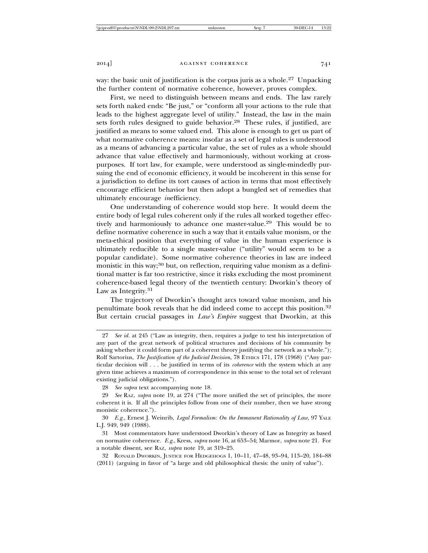way: the basic unit of justification is the corpus juris as a whole.<sup>27</sup> Unpacking the further content of normative coherence, however, proves complex.

First, we need to distinguish between means and ends. The law rarely sets forth naked ends: "Be just," or "conform all your actions to the rule that leads to the highest aggregate level of utility." Instead, the law in the main sets forth rules designed to guide behavior.<sup>28</sup> These rules, if justified, are justified as means to some valued end. This alone is enough to get us part of what normative coherence means: insofar as a set of legal rules is understood as a means of advancing a particular value, the set of rules as a whole should advance that value effectively and harmoniously, without working at crosspurposes. If tort law, for example, were understood as single-mindedly pursuing the end of economic efficiency, it would be incoherent in this sense for a jurisdiction to define its tort causes of action in terms that most effectively encourage efficient behavior but then adopt a bungled set of remedies that ultimately encourage *in*efficiency.

One understanding of coherence would stop here. It would deem the entire body of legal rules coherent only if the rules all worked together effectively and harmoniously to advance one master-value.29 This would be to define normative coherence in such a way that it entails value monism, or the meta-ethical position that everything of value in the human experience is ultimately reducible to a single master-value ("utility" would seem to be a popular candidate). Some normative coherence theories in law are indeed monistic in this way;<sup>30</sup> but, on reflection, requiring value monism as a definitional matter is far too restrictive, since it risks excluding the most prominent coherence-based legal theory of the twentieth century: Dworkin's theory of Law as Integrity.<sup>31</sup>

The trajectory of Dworkin's thought arcs toward value monism, and his penultimate book reveals that he did indeed come to accept this position.<sup>32</sup> But certain crucial passages in *Law's Empire* suggest that Dworkin, at this

<sup>27</sup> *See id.* at 245 ("Law as integrity, then, requires a judge to test his interpretation of any part of the great network of political structures and decisions of his community by asking whether it could form part of a coherent theory justifying the network as a whole."); Rolf Sartorius, *The Justification of the Judicial Decision*, 78 ETHICS 171, 178 (1968) ("Any particular decision will . . . be justified in terms of its *coherence* with the system which at any given time achieves a maximum of correspondence in this sense to the total set of relevant existing judicial obligations.").

<sup>28</sup> *See supra* text accompanying note 18.

<sup>29</sup> *See* RAZ, *supra* note 19, at 274 ("The more unified the set of principles, the more coherent it is. If all the principles follow from one of their number, then we have strong monistic coherence.").

<sup>30</sup> *E.g.*, Ernest J. Weinrib, *Legal Formalism: On the Immanent Rationality of Law*, 97 YALE L.J. 949, 949 (1988).

<sup>31</sup> Most commentators have understood Dworkin's theory of Law as Integrity as based on normative coherence. *E.g.*, Kress, *supra* note 16, at 653–54; Marmor, *supra* note 21. For a notable dissent, see RAZ, *supra* note 19, at 319–25.

<sup>32</sup> RONALD DWORKIN, JUSTICE FOR HEDGEHOGS 1, 10–11, 47–48, 93–94, 113–20, 184–88 (2011) (arguing in favor of "a large and old philosophical thesis: the unity of value").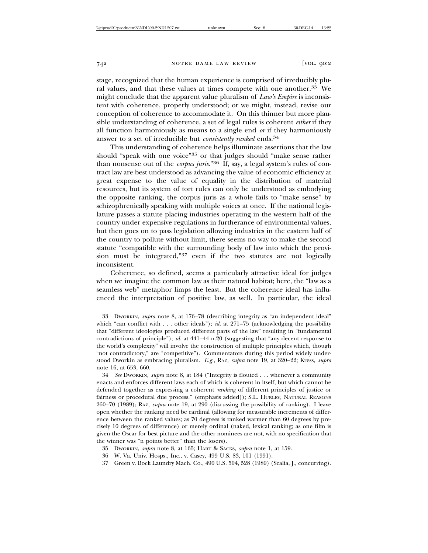stage, recognized that the human experience is comprised of irreducibly plural values, and that these values at times compete with one another.33 We might conclude that the apparent value pluralism of *Law's Empire* is inconsistent with coherence, properly understood; or we might, instead, revise our conception of coherence to accommodate it. On this thinner but more plausible understanding of coherence, a set of legal rules is coherent *either* if they all function harmoniously as means to a single end *or* if they harmoniously answer to a set of irreducible but *consistently ranked* ends.34

This understanding of coherence helps illuminate assertions that the law should "speak with one voice"35 or that judges should "make sense rather than nonsense out of the *corpus juris*."36 If, say, a legal system's rules of contract law are best understood as advancing the value of economic efficiency at great expense to the value of equality in the distribution of material resources, but its system of tort rules can only be understood as embodying the opposite ranking, the corpus juris as a whole fails to "make sense" by schizophrenically speaking with multiple voices at once. If the national legislature passes a statute placing industries operating in the western half of the country under expensive regulations in furtherance of environmental values, but then goes on to pass legislation allowing industries in the eastern half of the country to pollute without limit, there seems no way to make the second statute "compatible with the surrounding body of law into which the provision must be integrated,"37 even if the two statutes are not logically inconsistent.

Coherence, so defined, seems a particularly attractive ideal for judges when we imagine the common law as their natural habitat; here, the "law as a seamless web" metaphor limps the least. But the coherence ideal has influenced the interpretation of positive law, as well. In particular, the ideal

- 35 DWORKIN, *supra* note 8, at 165; HART & SACKS, *supra* note 1, at 159.
- 36 W. Va. Univ. Hosps., Inc., v. Casey, 499 U.S. 83, 101 (1991).
- 37 Green v. Bock Laundry Mach. Co., 490 U.S. 504, 528 (1989) (Scalia, J., concurring).

<sup>33</sup> DWORKIN, *supra* note 8, at 176–78 (describing integrity as "an independent ideal" which "can conflict with . . . other ideals"); *id.* at 271-75 (acknowledging the possibility that "different ideologies produced different parts of the law" resulting in "fundamental contradictions of principle"); *id.* at 441–44 n.20 (suggesting that "any decent response to the world's complexity" will involve the construction of multiple principles which, though "not contradictory," are "competitive"). Commentators during this period widely understood Dworkin as embracing pluralism. *E.g.*, RAZ, *supra* note 19, at 320–22; Kress, *supra* note 16, at 653, 660.

<sup>34</sup> *See* DWORKIN, *supra* note 8, at 184 ("Integrity is flouted . . . whenever a community enacts and enforces different laws each of which is coherent in itself, but which cannot be defended together as expressing a coherent *ranking* of different principles of justice or fairness or procedural due process." (emphasis added)); S.L. HURLEY, NATURAL REASONS 260–70 (1989); RAZ, *supra* note 19, at 290 (discussing the possibility of ranking). I leave open whether the ranking need be cardinal (allowing for measurable increments of difference between the ranked values; as 70 degrees is ranked warmer than 60 degrees by precisely 10 degrees of difference) or merely ordinal (naked, lexical ranking; as one film is given the Oscar for best picture and the other nominees are not, with no specification that the winner was "n points better" than the losers).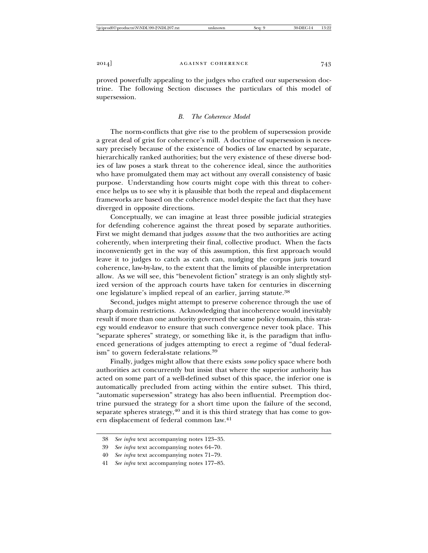proved powerfully appealing to the judges who crafted our supersession doctrine. The following Section discusses the particulars of this model of supersession.

#### *B. The Coherence Model*

The norm-conflicts that give rise to the problem of supersession provide a great deal of grist for coherence's mill. A doctrine of supersession is necessary precisely because of the existence of bodies of law enacted by separate, hierarchically ranked authorities; but the very existence of these diverse bodies of law poses a stark threat to the coherence ideal, since the authorities who have promulgated them may act without any overall consistency of basic purpose. Understanding how courts might cope with this threat to coherence helps us to see why it is plausible that both the repeal and displacement frameworks are based on the coherence model despite the fact that they have diverged in opposite directions.

Conceptually, we can imagine at least three possible judicial strategies for defending coherence against the threat posed by separate authorities. First we might demand that judges *assume* that the two authorities are acting coherently, when interpreting their final, collective product. When the facts inconveniently get in the way of this assumption, this first approach would leave it to judges to catch as catch can, nudging the corpus juris toward coherence, law-by-law, to the extent that the limits of plausible interpretation allow. As we will see, this "benevolent fiction" strategy is an only slightly stylized version of the approach courts have taken for centuries in discerning one legislature's implied repeal of an earlier, jarring statute.<sup>38</sup>

Second, judges might attempt to preserve coherence through the use of sharp domain restrictions. Acknowledging that incoherence would inevitably result if more than one authority governed the same policy domain, this strategy would endeavor to ensure that such convergence never took place. This "separate spheres" strategy, or something like it, is the paradigm that influenced generations of judges attempting to erect a regime of "dual federalism" to govern federal-state relations.<sup>39</sup>

Finally, judges might allow that there exists *some* policy space where both authorities act concurrently but insist that where the superior authority has acted on some part of a well-defined subset of this space, the inferior one is automatically precluded from acting within the entire subset. This third, "automatic supersession" strategy has also been influential. Preemption doctrine pursued the strategy for a short time upon the failure of the second, separate spheres strategy,<sup>40</sup> and it is this third strategy that has come to govern displacement of federal common law.<sup>41</sup>

<sup>38</sup> *See infra* text accompanying notes 123–35.

<sup>39</sup> *See infra* text accompanying notes 64–70.

<sup>40</sup> *See infra* text accompanying notes 71–79.

<sup>41</sup> *See infra* text accompanying notes 177–85.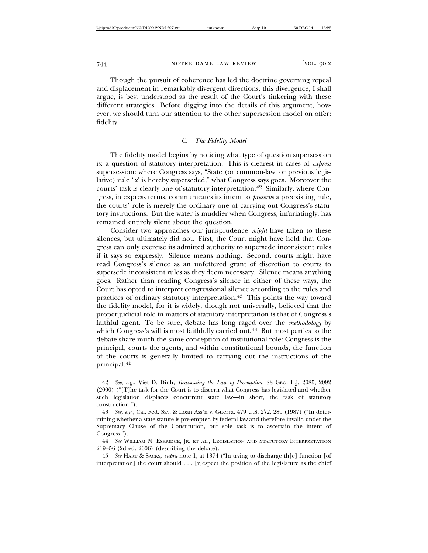Though the pursuit of coherence has led the doctrine governing repeal and displacement in remarkably divergent directions, this divergence, I shall argue, is best understood as the result of the Court's tinkering with these different strategies. Before digging into the details of this argument, however, we should turn our attention to the other supersession model on offer: fidelity.

# *C. The Fidelity Model*

The fidelity model begins by noticing what type of question supersession is: a question of statutory interpretation. This is clearest in cases of *express* supersession: where Congress says, "State (or common-law, or previous legislative) rule '*x*' is hereby superseded," what Congress says goes. Moreover the courts' task is clearly one of statutory interpretation.42 Similarly, where Congress, in express terms, communicates its intent to *preserve* a preexisting rule, the courts' role is merely the ordinary one of carrying out Congress's statutory instructions. But the water is muddier when Congress, infuriatingly, has remained entirely silent about the question.

Consider two approaches our jurisprudence *might* have taken to these silences, but ultimately did not. First, the Court might have held that Congress can only exercise its admitted authority to supersede inconsistent rules if it says so expressly. Silence means nothing. Second, courts might have read Congress's silence as an unfettered grant of discretion to courts to supersede inconsistent rules as they deem necessary. Silence means anything goes. Rather than reading Congress's silence in either of these ways, the Court has opted to interpret congressional silence according to the rules and practices of ordinary statutory interpretation.43 This points the way toward the fidelity model, for it is widely, though not universally, believed that the proper judicial role in matters of statutory interpretation is that of Congress's faithful agent. To be sure, debate has long raged over the *methodology* by which Congress's will is most faithfully carried out.<sup>44</sup> But most parties to the debate share much the same conception of institutional role: Congress is the principal, courts the agents, and within constitutional bounds, the function of the courts is generally limited to carrying out the instructions of the principal.45

<sup>42</sup> *See, e.g.*, Viet D. Dinh, *Reassessing the Law of Preemption*, 88 GEO. L.J. 2085, 2092 (2000) ("[T]he task for the Court is to discern what Congress has legislated and whether such legislation displaces concurrent state law—in short, the task of statutory construction.").

<sup>43</sup> *See, e.g.*, Cal. Fed. Sav. & Loan Ass'n v. Guerra, 479 U.S. 272, 280 (1987) ("In determining whether a state statute is pre-empted by federal law and therefore invalid under the Supremacy Clause of the Constitution, our sole task is to ascertain the intent of Congress.").

<sup>44</sup> *See* WILLIAM N. ESKRIDGE, JR. ET AL., LEGISLATION AND STATUTORY INTERPRETATION 219–56 (2d ed. 2006) (describing the debate).

<sup>45</sup> *See* HART & SACKS, *supra* note 1, at 1374 ("In trying to discharge th[e] function [of interpretation] the court should . . . [r]espect the position of the legislature as the chief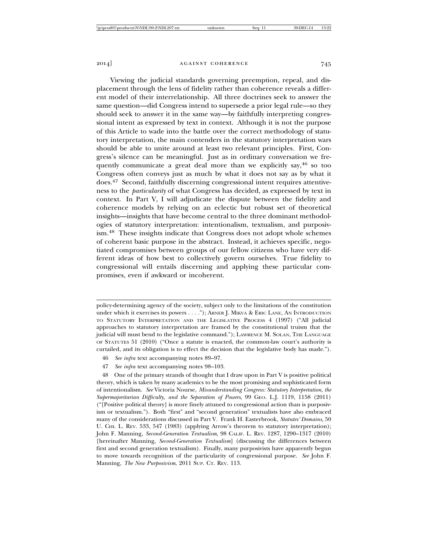Viewing the judicial standards governing preemption, repeal, and displacement through the lens of fidelity rather than coherence reveals a different model of their interrelationship. All three doctrines seek to answer the same question—did Congress intend to supersede a prior legal rule—so they should seek to answer it in the same way—by faithfully interpreting congressional intent as expressed by text in context. Although it is not the purpose of this Article to wade into the battle over the correct methodology of statutory interpretation, the main contenders in the statutory interpretation wars should be able to unite around at least two relevant principles. First, Congress's silence can be meaningful. Just as in ordinary conversation we frequently communicate a great deal more than we explicitly say,  $46$  so too Congress often conveys just as much by what it does not say as by what it does.47 Second, faithfully discerning congressional intent requires attentiveness to the *particularity* of what Congress has decided, as expressed by text in context. In Part V, I will adjudicate the dispute between the fidelity and coherence models by relying on an eclectic but robust set of theoretical insights—insights that have become central to the three dominant methodologies of statutory interpretation: intentionalism, textualism, and purposivism.48 These insights indicate that Congress does not adopt whole schemes of coherent basic purpose in the abstract. Instead, it achieves specific, negotiated compromises between groups of our fellow citizens who have very different ideas of how best to collectively govern ourselves. True fidelity to congressional will entails discerning and applying these particular compromises, even if awkward or incoherent.

policy-determining agency of the society, subject only to the limitations of the constitution under which it exercises its powers . . . ."); ABNER J. MIKVA & ERIC LANE, AN INTRODUCTION TO STATUTORY INTERPRETATION AND THE LEGISLATIVE PROCESS 4 (1997) ("All judicial approaches to statutory interpretation are framed by the constitutional truism that the judicial will must bend to the legislative command."); LAWRENCE M. SOLAN, THE LANGUAGE OF STATUTES 51 (2010) ("Once a statute is enacted, the common-law court's authority is curtailed, and its obligation is to effect the decision that the legislative body has made.").

- 46 *See infra* text accompanying notes 89–97.
- 47 *See infra* text accompanying notes 98–103.

<sup>48</sup> One of the primary strands of thought that I draw upon in Part V is positive political theory, which is taken by many academics to be the most promising and sophisticated form of intentionalism. *See* Victoria Nourse, *Misunderstanding Congress: Statutory Interpretation, the Supermajoritarian Difficulty, and the Separation of Powers*, 99 GEO. L.J. 1119, 1158 (2011) ("[Positive political theory] is more finely attuned to congressional action than is purposivism or textualism."). Both "first" and "second generation" textualists have also embraced many of the considerations discussed in Part V. Frank H. Easterbrook, *Statutes' Domains*, 50 U. CHI. L. REV. 533, 547 (1983) (applying Arrow's theorem to statutory interpretation); John F. Manning, *Second-Generation Textualism*, 98 CALIF. L. REV. 1287, 1290–1317 (2010) [hereinafter Manning, *Second-Generation Textualism*] (discussing the differences between first and second generation textualism). Finally, many purposivists have apparently begun to move towards recognition of the particularity of congressional purpose. *See* John F. Manning, *The New Purposivism*, 2011 SUP. CT. REV. 113.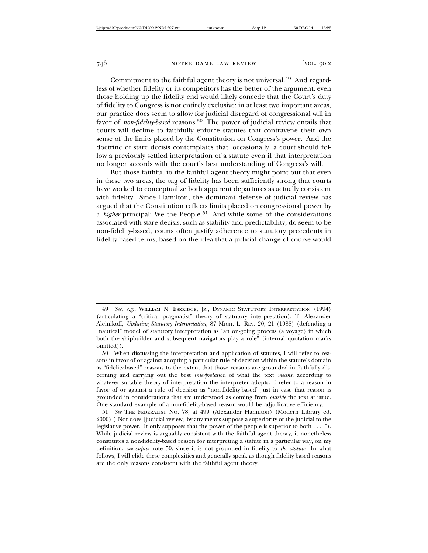Commitment to the faithful agent theory is not universal.49 And regardless of whether fidelity or its competitors has the better of the argument, even those holding up the fidelity end would likely concede that the Court's duty of fidelity to Congress is not entirely exclusive; in at least two important areas, our practice does seem to allow for judicial disregard of congressional will in favor of *non-fidelity-based* reasons.<sup>50</sup> The power of judicial review entails that courts will decline to faithfully enforce statutes that contravene their own sense of the limits placed by the Constitution on Congress's power. And the doctrine of stare decisis contemplates that, occasionally, a court should follow a previously settled interpretation of a statute even if that interpretation no longer accords with the court's best understanding of Congress's will.

But those faithful to the faithful agent theory might point out that even in these two areas, the tug of fidelity has been sufficiently strong that courts have worked to conceptualize both apparent departures as actually consistent with fidelity. Since Hamilton, the dominant defense of judicial review has argued that the Constitution reflects limits placed on congressional power by a *higher* principal: We the People.<sup>51</sup> And while some of the considerations associated with stare decisis, such as stability and predictability, do seem to be non-fidelity-based, courts often justify adherence to statutory precedents in fidelity-based terms, based on the idea that a judicial change of course would

<sup>49</sup> *See, e.g.*, WILLIAM N. ESKRIDGE, JR., DYNAMIC STATUTORY INTERPRETATION (1994) (articulating a "critical pragmatist" theory of statutory interpretation); T. Alexander Aleinikoff, *Updating Statutory Interpretation*, 87 MICH. L. REV. 20, 21 (1988) (defending a "nautical" model of statutory interpretation as "an on-going process (a voyage) in which both the shipbuilder and subsequent navigators play a role" (internal quotation marks omitted)).

<sup>50</sup> When discussing the interpretation and application of statutes, I will refer to reasons in favor of or against adopting a particular rule of decision within the statute's domain as "fidelity-based" reasons to the extent that those reasons are grounded in faithfully discerning and carrying out the best *interpretation* of what the text *means*, according to whatever suitable theory of interpretation the interpreter adopts. I refer to a reason in favor of or against a rule of decision as "non-fidelity-based" just in case that reason is grounded in considerations that are understood as coming from *outside* the text at issue. One standard example of a non-fidelity-based reason would be adjudicative efficiency.

<sup>51</sup> *See* THE FEDERALIST NO. 78, at 499 (Alexander Hamilton) (Modern Library ed. 2000) ("Nor does [judicial review] by any means suppose a superiority of the judicial to the legislative power. It only supposes that the power of the people is superior to both . . . ."). While judicial review is arguably consistent with the faithful agent theory, it nonetheless constitutes a non-fidelity-based reason for interpreting a statute in a particular way, on my definition, *see supra* note 50, since it is not grounded in fidelity to *the statute*. In what follows, I will elide these complexities and generally speak as though fidelity-based reasons are the only reasons consistent with the faithful agent theory.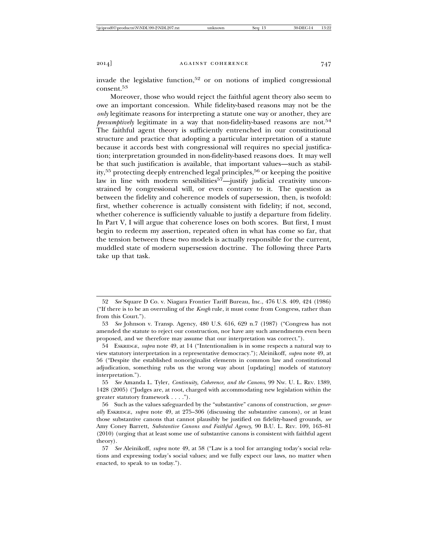invade the legislative function,52 or on notions of implied congressional consent.<sup>53</sup>

Moreover, those who would reject the faithful agent theory also seem to owe an important concession. While fidelity-based reasons may not be the *only* legitimate reasons for interpreting a statute one way or another, they are *presumptively* legitimate in a way that non-fidelity-based reasons are not.<sup>54</sup> The faithful agent theory is sufficiently entrenched in our constitutional structure and practice that adopting a particular interpretation of a statute because it accords best with congressional will requires no special justification; interpretation grounded in non-fidelity-based reasons does. It may well be that such justification is available, that important values—such as stability,<sup>55</sup> protecting deeply entrenched legal principles,<sup>56</sup> or keeping the positive law in line with modern sensibilities<sup>57</sup>—justify judicial creativity unconstrained by congressional will, or even contrary to it. The question as between the fidelity and coherence models of supersession, then, is twofold: first, whether coherence is actually consistent with fidelity; if not, second, whether coherence is sufficiently valuable to justify a departure from fidelity. In Part V, I will argue that coherence loses on both scores. But first, I must begin to redeem my assertion, repeated often in what has come so far, that the tension between these two models is actually responsible for the current, muddled state of modern supersession doctrine. The following three Parts take up that task.

<sup>52</sup> *See* Square D Co. v. Niagara Frontier Tariff Bureau, Inc., 476 U.S. 409, 424 (1986) ("If there is to be an overruling of the *Keogh* rule, it must come from Congress, rather than from this Court.").

<sup>53</sup> *See* Johnson v. Transp. Agency, 480 U.S. 616, 629 n.7 (1987) ("Congress has not amended the statute to reject our construction, nor have any such amendments even been proposed, and we therefore may assume that our interpretation was correct.").

<sup>54</sup> ESKRIDGE, *supra* note 49, at 14 ("Intentionalism is in some respects a natural way to view statutory interpretation in a representative democracy."); Aleinikoff, *supra* note 49, at 56 ("Despite the established nonoriginalist elements in common law and constitutional adjudication, something rubs us the wrong way about [updating] models of statutory interpretation.").

<sup>55</sup> *See* Amanda L. Tyler, *Continuity, Coherence, and the Canons*, 99 NW. U. L. REV. 1389, 1428 (2005) ("Judges are, at root, charged with accommodating new legislation within the greater statutory framework . . . .").

<sup>56</sup> Such as the values safeguarded by the "substantive" canons of construction, *see generally* ESKRIDGE, *supra* note 49, at 275–306 (discussing the substantive canons), or at least those substantive canons that cannot plausibly be justified on fidelity-based grounds, *see* Amy Coney Barrett, *Substantive Canons and Faithful Agency*, 90 B.U. L. REV. 109, 163–81 (2010) (urging that at least some use of substantive canons is consistent with faithful agent theory).

<sup>57</sup> *See* Aleinikoff, *supra* note 49, at 58 ("Law is a tool for arranging today's social relations and expressing today's social values; and we fully expect our laws, no matter when enacted, to speak to us today.").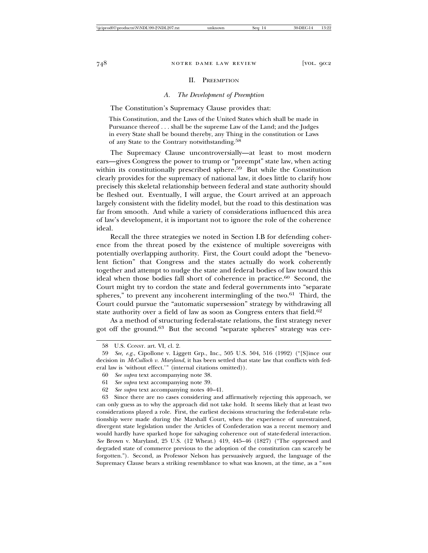#### II. PREEMPTION

### *A. The Development of Preemption*

The Constitution's Supremacy Clause provides that:

This Constitution, and the Laws of the United States which shall be made in Pursuance thereof . . . shall be the supreme Law of the Land; and the Judges in every State shall be bound thereby, any Thing in the constitution or Laws of any State to the Contrary notwithstanding.58

The Supremacy Clause uncontroversially—at least to most modern ears—gives Congress the power to trump or "preempt" state law, when acting within its constitutionally prescribed sphere.<sup>59</sup> But while the Constitution clearly provides for the supremacy of national law, it does little to clarify how precisely this skeletal relationship between federal and state authority should be fleshed out. Eventually, I will argue, the Court arrived at an approach largely consistent with the fidelity model, but the road to this destination was far from smooth. And while a variety of considerations influenced this area of law's development, it is important not to ignore the role of the coherence ideal.

Recall the three strategies we noted in Section I.B for defending coherence from the threat posed by the existence of multiple sovereigns with potentially overlapping authority. First, the Court could adopt the "benevolent fiction" that Congress and the states actually do work coherently together and attempt to nudge the state and federal bodies of law toward this ideal when those bodies fall short of coherence in practice.<sup>60</sup> Second, the Court might try to cordon the state and federal governments into "separate spheres," to prevent any incoherent intermingling of the two. $61$  Third, the Court could pursue the "automatic supersession" strategy by withdrawing all state authority over a field of law as soon as Congress enters that field.<sup>62</sup>

As a method of structuring federal-state relations, the first strategy never got off the ground.63 But the second "separate spheres" strategy was cer-

<sup>58</sup> U.S. CONST. art. VI, cl. 2.

<sup>59</sup> *See, e.g.*, Cipollone v. Liggett Grp., Inc., 505 U.S. 504, 516 (1992) ("[S]ince our decision in *McCulloch v. Maryland*, it has been settled that state law that conflicts with federal law is 'without effect.'" (internal citations omitted)).

<sup>60</sup> *See supra* text accompanying note 38.

<sup>61</sup> *See supra* text accompanying note 39.

<sup>62</sup> *See supra* text accompanying notes 40–41.

<sup>63</sup> Since there are no cases considering and affirmatively rejecting this approach, we can only guess as to why the approach did not take hold. It seems likely that at least two considerations played a role. First, the earliest decisions structuring the federal-state relationship were made during the Marshall Court, when the experience of unrestrained, divergent state legislation under the Articles of Confederation was a recent memory and would hardly have sparked hope for salvaging coherence out of state-federal interaction. *See* Brown v. Maryland, 25 U.S. (12 Wheat.) 419, 445–46 (1827) ("The oppressed and degraded state of commerce previous to the adoption of the constitution can scarcely be forgotten."). Second, as Professor Nelson has persuasively argued, the language of the Supremacy Clause bears a striking resemblance to what was known, at the time, as a "*non*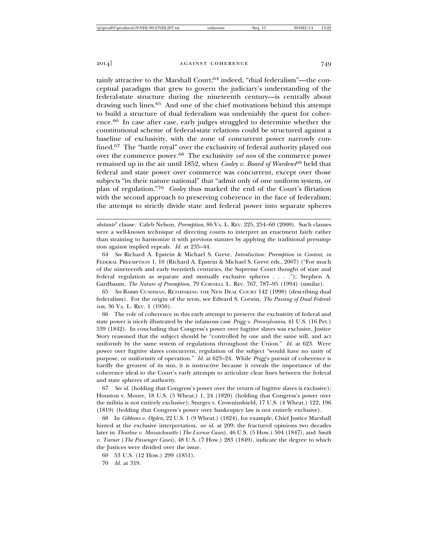tainly attractive to the Marshall Court;64 indeed, "dual federalism"—the conceptual paradigm that grew to govern the judiciary's understanding of the federal-state structure during the nineteenth century—is centrally about drawing such lines.65 And one of the chief motivations behind this attempt to build a structure of dual federalism was undeniably the quest for coherence.66 In case after case, early judges struggled to determine whether the constitutional scheme of federal-state relations could be structured against a baseline of exclusivity, with the zone of concurrent power narrowly confined.67 The "battle royal" over the exclusivity of federal authority played out over the commerce power.68 The exclusivity *vel non* of the commerce power remained up in the air until 1852, when *Cooley v. Board of Wardens*69 held that federal and state power over commerce was concurrent, except over those subjects "in their nature national" that "admit only of one uniform system, or plan of regulation."<sup>70</sup> *Cooley* thus marked the end of the Court's flirtation with the second approach to preserving coherence in the face of federalism; the attempt to strictly divide state and federal power into separate spheres

64 *See* Richard A. Epstein & Michael S. Greve, *Introduction: Preemption in Context*, *in* FEDERAL PREEMPTION 1, 10 (Richard A. Epstein & Michael S. Greve eds., 2007) ("For much of the nineteenth and early twentieth centuries, the Supreme Court thought of state and federal regulation as separate and mutually exclusive spheres . . . ."); Stephen A. Gardbaum, *The Nature of Preemption*, 79 CORNELL L. REV. 767, 787–95 (1994) (similar).

65 *See* BARRY CUSHMAN, RETHINKING THE NEW DEAL COURT 142 (1998) (describing dual federalism). For the origin of the term, see Edward S. Corwin, *The Passing of Dual Federalism*, 36 VA. L. REV. 1 (1950).

66 The role of coherence in this early attempt to preserve the exclusivity of federal and state power is nicely illustrated by the infamous case *Prigg v. Pennsylvania*, 41 U.S. (16 Pet.) 539 (1842). In concluding that Congress's power over fugitive slaves was exclusive, Justice Story reasoned that the subject should be "controlled by one and the same will, and act uniformly by the same system of regulations throughout the Union." *Id.* at 623. Were power over fugitive slaves concurrent, regulation of the subject "would have no unity of purpose, or uniformity of operation." *Id.* at 623–24. While *Prigg*'s pursuit of coherence is hardly the greatest of its sins, it is instructive because it reveals the importance of the coherence ideal to the Court's early attempts to articulate clear lines between the federal and state spheres of authority.

67 *See id.* (holding that Congress's power over the return of fugitive slaves is exclusive); Houston v. Moore, 18 U.S. (5 Wheat.) 1, 24 (1820) (holding that Congress's power over the militia is not entirely exclusive); Sturges v. Crowninshield, 17 U.S. (4 Wheat.) 122, 196 (1819) (holding that Congress's power over bankruptcy law is not entirely exclusive).

68 In *Gibbons v. Ogden*, 22 U.S. 1 (9 Wheat.) (1824), for example, Chief Justice Marshall hinted at the exclusive interpretation, *see id.* at 209; the fractured opinions two decades later in *Thurlow v. Massachusetts* (*The License Cases*), 46 U.S. (5 How.) 504 (1847), and *Smith v. Turner* (*The Passenger Cases*), 48 U.S. (7 How.) 283 (1849), indicate the degree to which the Justices were divided over the issue.

69 53 U.S. (12 How.) 299 (1851).

70 *Id.* at 319.

*obstante*" clause. Caleb Nelson, *Preemption*, 86 VA. L. REV. 225, 254–60 (2000). Such clauses were a well-known technique of directing courts to interpret an enactment fairly rather than straining to harmonize it with previous statutes by applying the traditional presumption against implied repeals. *Id.* at 235–44.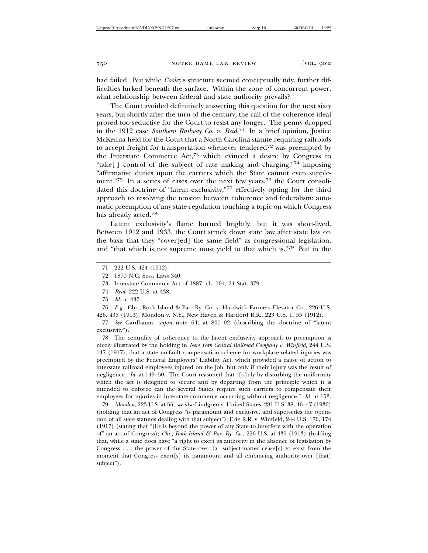had failed. But while *Cooley*'s structure seemed conceptually tidy, further difficulties lurked beneath the surface. Within the zone of concurrent power, what relationship between federal and state authority prevails?

The Court avoided definitively answering this question for the next sixty years, but shortly after the turn of the century, the call of the coherence ideal proved too seductive for the Court to resist any longer. The penny dropped in the 1912 case *Southern Railway Co. v. Reid*. 71 In a brief opinion, Justice McKenna held for the Court that a North Carolina statute requiring railroads to accept freight for transportation whenever tendered<sup>72</sup> was preempted by the Interstate Commerce Act,73 which evinced a desire by Congress to "take[ ] control of the subject of rate making and charging,"74 imposing "affirmative duties upon the carriers which the State cannot even supplement."75 In a series of cases over the next few years,<sup>76</sup> the Court consolidated this doctrine of "latent exclusivity,"77 effectively opting for the third approach to resolving the tension between coherence and federalism: automatic preemption of any state regulation touching a topic on which Congress has already acted.<sup>78</sup>

Latent exclusivity's flame burned brightly, but it was short-lived. Between 1912 and 1933, the Court struck down state law after state law on the basis that they "cover[ed] the same field" as congressional legislation, and "that which is not supreme must yield to that which is."79 But in the

- 74 *Reid*, 222 U.S. at 438.
- 75 *Id.* at 437.

76 *E.g.*, Chi., Rock Island & Pac. Ry. Co. v. Hardwick Farmers Elevator Co., 226 U.S. 426, 435 (1913); Mondou v. N.Y., New Haven & Hartford R.R., 223 U.S. 1, 55 (1912).

77 *See* Gardbaum, *supra* note 64, at 801–02 (describing the doctrine of "latent exclusivity").

78 The centrality of coherence to the latent exclusivity approach to preemption is nicely illustrated by the holding in *New York Central Railroad Company v. Winfield*, 244 U.S. 147 (1917), that a state no-fault compensation scheme for workplace-related injuries was preempted by the Federal Employers' Liability Act, which provided a cause of action to interstate railroad employees injured on the job, but only if their injury was the result of negligence. *Id.* at 149–50. The Court reasoned that "[o]nly by disturbing the uniformity which the act is designed to secure and by departing from the principle which it is intended to enforce can the several States require such carriers to compensate their employees for injuries in interstate commerce occurring without negligence." *Id.* at 153.

79 *Mondou*, 223 U.S. at 55; *see also* Lindgren v. United States, 281 U.S. 38, 46–47 (1930) (holding that an act of Congress "is paramount and exclusive, and supersedes the operation of all state statutes dealing with that subject"); Erie R.R. v. Winfield, 244 U.S. 170, 174 (1917) (stating that "[i]t is beyond the power of any State to interfere with the operation of" an act of Congress); *Chi., Rock Island & Pac. Ry. Co.*, 226 U.S. at 435 (1913) (holding that, while a state does have "a right to exert its authority in the absence of legislation by Congress . . . the power of the State over [a] subject-matter cease[s] to exist from the moment that Congress exert[s] its paramount and all embracing authority over [that] subject").

<sup>71 222</sup> U.S. 424 (1912).

<sup>72 1879</sup> N.C. Sess. Laws 340.

<sup>73</sup> Interstate Commerce Act of 1887, ch. 104, 24 Stat. 379.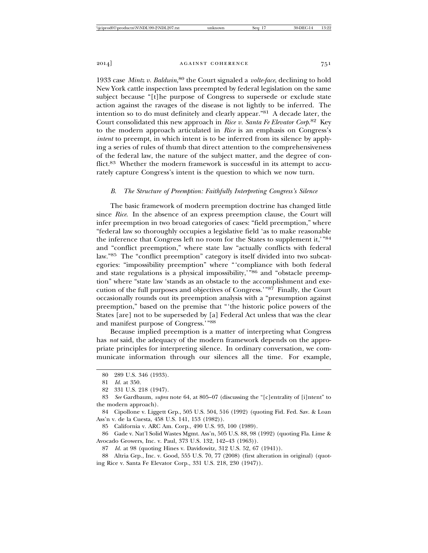1933 case Mintz v. Baldwin,<sup>80</sup> the Court signaled a volte-face, declining to hold New York cattle inspection laws preempted by federal legislation on the same subject because "[t]he purpose of Congress to supersede or exclude state action against the ravages of the disease is not lightly to be inferred. The intention so to do must definitely and clearly appear."81 A decade later, the Court consolidated this new approach in *Rice v. Santa Fe Elevator Corp*. 82 Key to the modern approach articulated in *Rice* is an emphasis on Congress's *intent* to preempt, in which intent is to be inferred from its silence by applying a series of rules of thumb that direct attention to the comprehensiveness of the federal law, the nature of the subject matter, and the degree of conflict.83 Whether the modern framework is successful in its attempt to accurately capture Congress's intent is the question to which we now turn.

#### *B. The Structure of Preemption: Faithfully Interpreting Congress's Silence*

The basic framework of modern preemption doctrine has changed little since *Rice*. In the absence of an express preemption clause, the Court will infer preemption in two broad categories of cases: "field preemption," where "federal law so thoroughly occupies a legislative field 'as to make reasonable the inference that Congress left no room for the States to supplement it,'"<sup>84</sup> and "conflict preemption," where state law "actually conflicts with federal law."85 The "conflict preemption" category is itself divided into two subcategories: "impossibility preemption" where "'compliance with both federal and state regulations is a physical impossibility,  $\dot{86}$  and "obstacle preemption" where "state law 'stands as an obstacle to the accomplishment and execution of the full purposes and objectives of Congress.'"87 Finally, the Court occasionally rounds out its preemption analysis with a "presumption against preemption," based on the premise that "'the historic police powers of the States [are] not to be superseded by [a] Federal Act unless that was the clear and manifest purpose of Congress.'"<sup>88</sup>

Because implied preemption is a matter of interpreting what Congress has *not* said, the adequacy of the modern framework depends on the appropriate principles for interpreting silence. In ordinary conversation, we communicate information through our silences all the time. For example,

<sup>80 289</sup> U.S. 346 (1933).

<sup>81</sup> *Id.* at 350.

<sup>82 331</sup> U.S. 218 (1947).

<sup>83</sup> *See* Gardbaum, *supra* note 64, at 805–07 (discussing the "[c]entrality of [i]ntent" to the modern approach).

<sup>84</sup> Cipollone v. Liggett Grp., 505 U.S. 504, 516 (1992) (quoting Fid. Fed. Sav. & Loan Ass'n v. de la Cuesta, 458 U.S. 141, 153 (1982)).

<sup>85</sup> California v. ARC Am. Corp., 490 U.S. 93, 100 (1989).

<sup>86</sup> Gade v. Nat'l Solid Wastes Mgmt. Ass'n, 505 U.S. 88, 98 (1992) (quoting Fla. Lime & Avocado Growers, Inc. v. Paul, 373 U.S. 132, 142–43 (1963)).

<sup>87</sup> *Id.* at 98 (quoting Hines v. Davidowitz, 312 U.S. 52, 67 (1941)).

<sup>88</sup> Altria Grp., Inc. v. Good, 555 U.S. 70, 77 (2008) (first alteration in original) (quoting Rice v. Santa Fe Elevator Corp., 331 U.S. 218, 230 (1947)).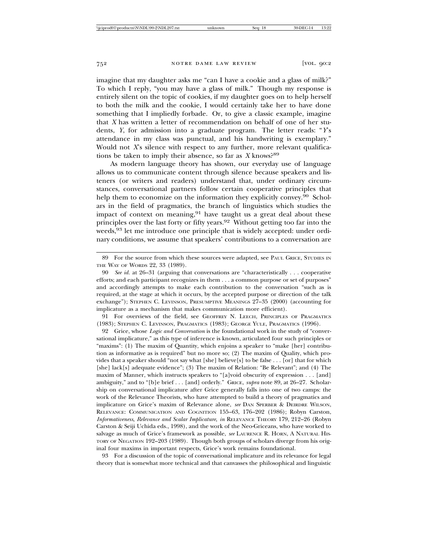imagine that my daughter asks me "can I have a cookie and a glass of milk?" To which I reply, "you may have a glass of milk." Though my response is entirely silent on the topic of cookies, if my daughter goes on to help herself to both the milk and the cookie, I would certainly take her to have done something that I impliedly forbade. Or, to give a classic example, imagine that *X* has written a letter of recommendation on behalf of one of her students, *Y*, for admission into a graduate program. The letter reads: "*Y*'s attendance in my class was punctual, and his handwriting is exemplary." Would not *X*'s silence with respect to any further, more relevant qualifications be taken to imply their absence, so far as *X* knows?89

As modern language theory has shown, our everyday use of language allows us to communicate content through silence because speakers and listeners (or writers and readers) understand that, under ordinary circumstances, conversational partners follow certain cooperative principles that help them to economize on the information they explicitly convey.<sup>90</sup> Scholars in the field of pragmatics, the branch of linguistics which studies the impact of context on meaning,  $91$  have taught us a great deal about these principles over the last forty or fifty years.92 Without getting too far into the weeds,<sup>93</sup> let me introduce one principle that is widely accepted: under ordinary conditions, we assume that speakers' contributions to a conversation are

91 For overviews of the field, see GEOFFREY N. LEECH, PRINCIPLES OF PRAGMATICS (1983); STEPHEN C. LEVINSON, PRAGMATICS (1983); GEORGE YULE, PRAGMATICS (1996).

92 Grice, whose *Logic and Conversation* is the foundational work in the study of "conversational implicature," as this type of inference is known, articulated four such principles or "maxims": (1) The maxim of Quantity, which enjoins a speaker to "make [her] contribution as informative as is required" but no more so; (2) The maxim of Quality, which provides that a speaker should "not say what [she] believe[s] to be false . . . [or] that for which [she] lack[s] adequate evidence"; (3) The maxim of Relation: "Be Relevant"; and (4) The maxim of Manner, which instructs speakers to "[a]void obscurity of expression . . . [and] ambiguity," and to "[b]e brief . . . [and] orderly." GRICE, *supra* note 89, at 26–27. Scholarship on conversational implicature after Grice generally falls into one of two camps: the work of the Relevance Theorists, who have attempted to build a theory of pragmatics and implicature on Grice's maxim of Relevance alone, *see* DAN SPERBER & DEIRDRE WILSON, RELEVANCE: COMMUNICATION AND COGNITION 155–63, 176–202 (1986); Robyn Carston, *Informativeness, Relevance and Scalar Implicature*, *in* RELEVANCE THEORY 179, 212–26 (Robyn Carston & Seiji Uchida eds., 1998), and the work of the Neo-Griceans, who have worked to salvage as much of Grice's framework as possible, *see* LAURENCE R. HORN, A NATURAL HIS-TORY OF NEGATION 192–203 (1989). Though both groups of scholars diverge from his original four maxims in important respects, Grice's work remains foundational.

93 For a discussion of the topic of conversational implicature and its relevance for legal theory that is somewhat more technical and that canvasses the philosophical and linguistic

<sup>89</sup> For the source from which these sources were adapted, see PAUL GRICE, STUDIES IN THE WAY OF WORDS 22, 33 (1989).

<sup>90</sup> *See id.* at 26–31 (arguing that conversations are "characteristically . . . cooperative efforts; and each participant recognizes in them . . . a common purpose or set of purposes" and accordingly attempts to make each contribution to the conversation "such as is required, at the stage at which it occurs, by the accepted purpose or direction of the talk exchange"); STEPHEN C. LEVINSON, PRESUMPTIVE MEANINGS 27–35 (2000) (accounting for implicature as a mechanism that makes communication more efficient).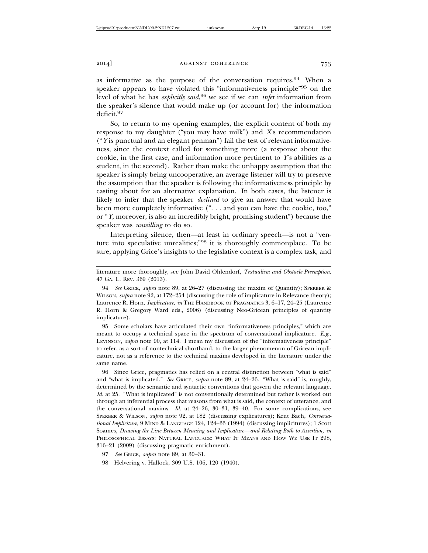as informative as the purpose of the conversation requires.  $94$  When a speaker appears to have violated this "informativeness principle"95 on the level of what he has *explicitly said*, 96 we see if we can *infer* information from the speaker's silence that would make up (or account for) the information deficit.97

So, to return to my opening examples, the explicit content of both my response to my daughter ("you may have milk") and *X*'s recommendation ("*Y* is punctual and an elegant penman") fail the test of relevant informativeness, since the context called for something more (a response about the cookie, in the first case, and information more pertinent to *Y*'s abilities as a student, in the second). Rather than make the unhappy assumption that the speaker is simply being uncooperative, an average listener will try to preserve the assumption that the speaker is following the informativeness principle by casting about for an alternative explanation. In both cases, the listener is likely to infer that the speaker *declined* to give an answer that would have been more completely informative (". . . and you can have the cookie, too," or "*Y*, moreover, is also an incredibly bright, promising student") because the speaker was *unwilling* to do so.

Interpreting silence, then—at least in ordinary speech—is not a "venture into speculative unrealities;"98 it is thoroughly commonplace. To be sure, applying Grice's insights to the legislative context is a complex task, and

literature more thoroughly, see John David Ohlendorf, *Textualism and Obstacle Preemption*, 47 GA. L. REV. 369 (2013).

94 *See* GRICE, *supra* note 89, at 26–27 (discussing the maxim of Quantity); SPERBER & WILSON, *supra* note 92, at 172–254 (discussing the role of implicature in Relevance theory); Laurence R. Horn, *Implicature*, *in* THE HANDBOOK OF PRAGMATICS 3, 6-17, 24-25 (Laurence R. Horn & Gregory Ward eds., 2006) (discussing Neo-Gricean principles of quantity implicature).

95 Some scholars have articulated their own "informativeness principles," which are meant to occupy a technical space in the spectrum of conversational implicature. *E.g.*, LEVINSON, *supra* note 90, at 114. I mean my discussion of the "informativeness principle" to refer, as a sort of nontechnical shorthand, to the larger phenomenon of Gricean implicature, not as a reference to the technical maxims developed in the literature under the same name.

96 Since Grice, pragmatics has relied on a central distinction between "what is said" and "what is implicated." *See* GRICE, *supra* note 89, at 24–26. "What is said" is, roughly, determined by the semantic and syntactic conventions that govern the relevant language. *Id.* at 25. "What is implicated" is not conventionally determined but rather is worked out through an inferential process that reasons from what is said, the context of utterance, and the conversational maxims. *Id.* at 24–26, 30–31, 39–40. For some complications, see SPERBER & WILSON, *supra* note 92, at 182 (discussing explicatures); Kent Bach, *Conversational Impliciture*, 9 MIND & LANGUAGE 124, 124–33 (1994) (discussing implicitures); 1 Scott Soames, *Drawing the Line Between Meaning and Implicature—and Relating Both to Assertion*, *in* PHILOSOPHICAL ESSAYS: NATURAL LANGUAGE: WHAT IT MEANS AND HOW WE USE IT 298, 316–21 (2009) (discussing pragmatic enrichment).

<sup>97</sup> *See* GRICE, *supra* note 89, at 30–31.

<sup>98</sup> Helvering v. Hallock, 309 U.S. 106, 120 (1940).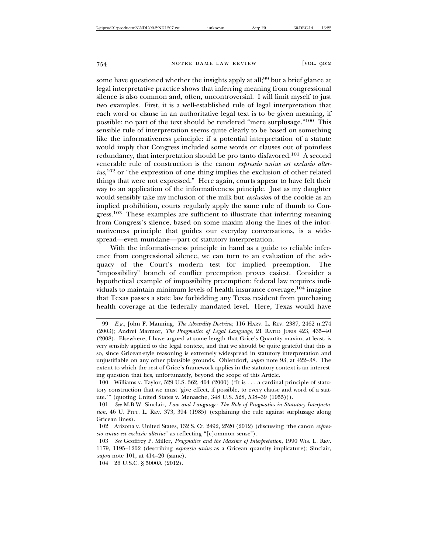some have questioned whether the insights apply at all;<sup>99</sup> but a brief glance at legal interpretative practice shows that inferring meaning from congressional silence is also common and, often, uncontroversial. I will limit myself to just two examples. First, it is a well-established rule of legal interpretation that each word or clause in an authoritative legal text is to be given meaning, if possible; no part of the text should be rendered "mere surplusage."100 This sensible rule of interpretation seems quite clearly to be based on something like the informativeness principle: if a potential interpretation of a statute would imply that Congress included some words or clauses out of pointless redundancy, that interpretation should be pro tanto disfavored.<sup>101</sup> A second venerable rule of construction is the canon *expressio unius est exclusio alter*ius,<sup>102</sup> or "the expression of one thing implies the exclusion of other related things that were not expressed." Here again, courts appear to have felt their way to an application of the informativeness principle. Just as my daughter would sensibly take my inclusion of the milk but *exclusion* of the cookie as an implied prohibition, courts regularly apply the same rule of thumb to Congress.<sup>103</sup> These examples are sufficient to illustrate that inferring meaning from Congress's silence, based on some maxim along the lines of the informativeness principle that guides our everyday conversations, is a widespread—even mundane—part of statutory interpretation.

With the informativeness principle in hand as a guide to reliable inference from congressional silence, we can turn to an evaluation of the adequacy of the Court's modern test for implied preemption. The "impossibility" branch of conflict preemption proves easiest. Consider a hypothetical example of impossibility preemption: federal law requires individuals to maintain minimum levels of health insurance coverage;104 imagine that Texas passes a state law forbidding any Texas resident from purchasing health coverage at the federally mandated level. Here, Texas would have

<sup>99</sup> *E.g.*, John F. Manning, *The Absurdity Doctrine*, 116 HARV. L. REV. 2387, 2462 n.274 (2003); Andrei Marmor, *The Pragmatics of Legal Language*, 21 RATIO JURIS 423, 435–40 (2008). Elsewhere, I have argued at some length that Grice's Quantity maxim, at least, is very sensibly applied to the legal context, and that we should be quite grateful that this is so, since Gricean-style reasoning is extremely widespread in statutory interpretation and unjustifiable on any other plausible grounds. Ohlendorf, *supra* note 93, at 422–38. The extent to which the rest of Grice's framework applies in the statutory context is an interesting question that lies, unfortunately, beyond the scope of this Article.

<sup>100</sup> Williams v. Taylor, 529 U.S. 362, 404 (2000) ("It is . . . a cardinal principle of statutory construction that we must 'give effect, if possible, to every clause and word of a statute.'" (quoting United States v. Menasche, 348 U.S. 528, 538–39 (1955))).

<sup>101</sup> *See* M.B.W. Sinclair, *Law and Language: The Role of Pragmatics in Statutory Interpretation*, 46 U. PITT. L. REV. 373, 394 (1985) (explaining the rule against surplusage along Gricean lines).

<sup>102</sup> Arizona v. United States, 132 S. Ct. 2492, 2520 (2012) (discussing "the canon *expressio unius est exclusio alterius*" as reflecting "[c]ommon sense").

<sup>103</sup> *See* Geoffrey P. Miller, *Pragmatics and the Maxims of Interpretation*, 1990 WIS. L. REV. 1179, 1195–1202 (describing *expressio unius* as a Gricean quantity implicature); Sinclair, *supra* note 101, at 414–20 (same).

<sup>104 26</sup> U.S.C. § 5000A (2012).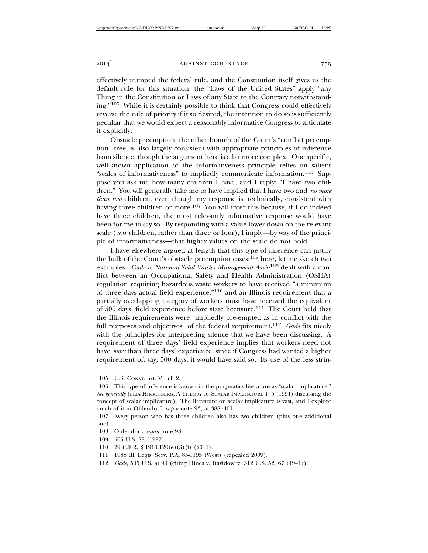effectively trumped the federal rule, and the Constitution itself gives us the default rule for this situation: the "Laws of the United States" apply "any Thing in the Constitution or Laws of any State to the Contrary notwithstanding."105 While it is certainly possible to think that Congress could effectively

reverse the rule of priority if it so desired, the intention to do so is sufficiently peculiar that we would expect a reasonably informative Congress to articulate it explicitly.

Obstacle preemption, the other branch of the Court's "conflict preemption" tree, is also largely consistent with appropriate principles of inference from silence, though the argument here is a bit more complex. One specific, well-known application of the informativeness principle relies on salient "scales of informativeness" to impliedly communicate information.106 Suppose you ask me how many children I have, and I reply: "I have two children." You will generally take me to have implied that I have two and *no more than two* children, even though my response is, technically, consistent with having three children or more.<sup>107</sup> You will infer this because, if I do indeed have three children, the most relevantly informative response would have been for me to say so. By responding with a value lower down on the relevant scale (two children, rather than three or four), I imply—by way of the principle of informativeness—that higher values on the scale do not hold.

I have elsewhere argued at length that this type of inference can justify the bulk of the Court's obstacle preemption cases;<sup>108</sup> here, let me sketch two examples. *Gade v. National Solid Wastes Management Ass'n*109 dealt with a conflict between an Occupational Safety and Health Administration (OSHA) regulation requiring hazardous waste workers to have received "a minimum of three days actual field experience,"110 and an Illinois requirement that a partially overlapping category of workers must have received the equivalent of 500 days' field experience before state licensure.111 The Court held that the Illinois requirements were "impliedly pre-empted as in conflict with the full purposes and objectives" of the federal requirement.<sup>112</sup> *Gade* fits nicely with the principles for interpreting silence that we have been discussing. A requirement of three days' field experience implies that workers need not have *more* than three days' experience, since if Congress had wanted a higher requirement of, say, 500 days, it would have said so. Its use of the less strin-

<sup>105</sup> U.S. CONST. art. VI, cl. 2.

<sup>106</sup> This type of inference is known in the pragmatics literature as "scalar implicature." *See generally* JULIA HIRSCHBERG, A THEORY OF SCALAR IMPLICATURE 1–5 (1991) discussing the concept of scalar implicature). The literature on scalar implicature is vast, and I explore much of it in Ohlendorf, *supra* note 93, at 388–401.

<sup>107</sup> Every person who has three children also has two children (plus one additional one).

<sup>108</sup> Ohlendorf, *supra* note 93.

<sup>109 505</sup> U.S. 88 (1992).

<sup>110 29</sup> C.F.R. § 1910.120(e)(3)(i) (2011).

<sup>111 1988</sup> Ill. Legis. Serv. P.A. 85-1195 (West) (repealed 2009).

<sup>112</sup> *Gade*, 505 U.S. at 99 (citing Hines v. Davidowitz, 312 U.S. 52, 67 (1941)).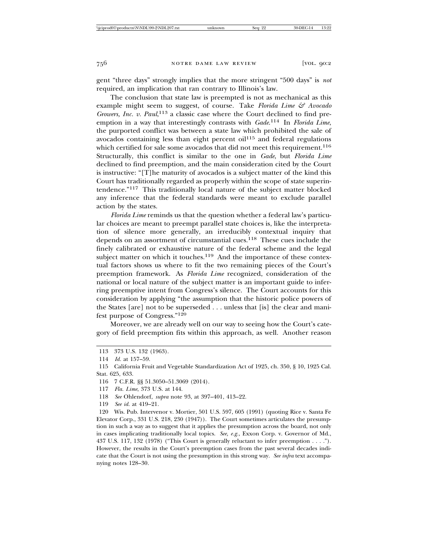gent "three days" strongly implies that the more stringent "500 days" is *not* required, an implication that ran contrary to Illinois's law.

The conclusion that state law is preempted is not as mechanical as this example might seem to suggest, of course. Take *Florida Lime & Avocado Growers, Inc. v. Paul*, 113 a classic case where the Court declined to find preemption in a way that interestingly contrasts with *Gade*. 114 In *Florida Lime*, the purported conflict was between a state law which prohibited the sale of avocados containing less than eight percent  $oil<sup>115</sup>$  and federal regulations which certified for sale some avocados that did not meet this requirement.<sup>116</sup> Structurally, this conflict is similar to the one in *Gade*, but *Florida Lime* declined to find preemption, and the main consideration cited by the Court is instructive: "[T]he maturity of avocados is a subject matter of the kind this Court has traditionally regarded as properly within the scope of state superintendence."117 This traditionally local nature of the subject matter blocked any inference that the federal standards were meant to exclude parallel action by the states.

*Florida Lime* reminds us that the question whether a federal law's particular choices are meant to preempt parallel state choices is, like the interpretation of silence more generally, an irreducibly contextual inquiry that depends on an assortment of circumstantial cues.118 These cues include the finely calibrated or exhaustive nature of the federal scheme and the legal subject matter on which it touches.<sup>119</sup> And the importance of these contextual factors shows us where to fit the two remaining pieces of the Court's preemption framework. As *Florida Lime* recognized, consideration of the national or local nature of the subject matter is an important guide to inferring preemptive intent from Congress's silence. The Court accounts for this consideration by applying "the assumption that the historic police powers of the States [are] not to be superseded . . . unless that [is] the clear and manifest purpose of Congress."<sup>120</sup>

Moreover, we are already well on our way to seeing how the Court's category of field preemption fits within this approach, as well. Another reason

- 118 *See* Ohlendorf, *supra* note 93, at 397–401, 413–22.
- 119 *See id.* at 419–21.

120 Wis. Pub. Intervenor v. Mortier, 501 U.S. 597, 605 (1991) (quoting Rice v. Santa Fe Elevator Corp., 331 U.S. 218, 230 (1947)). The Court sometimes articulates the presumption in such a way as to suggest that it applies the presumption across the board, not only in cases implicating traditionally local topics. *See, e.g.*, Exxon Corp. v. Governor of Md., 437 U.S. 117, 132 (1978) ("This Court is generally reluctant to infer preemption . . . ."). However, the results in the Court's preemption cases from the past several decades indicate that the Court is not using the presumption in this strong way. *See infra* text accompanying notes 128–30.

<sup>113 373</sup> U.S. 132 (1963).

<sup>114</sup> *Id.* at 157–59.

<sup>115</sup> California Fruit and Vegetable Standardization Act of 1925, ch. 350, § 10, 1925 Cal. Stat. 625, 633.

<sup>116 7</sup> C.F.R. §§ 51.3050–51.3069 (2014).

<sup>117</sup> *Fla. Lime*, 373 U.S. at 144.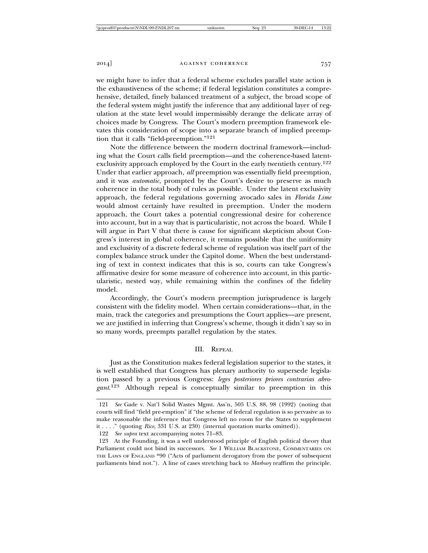we might have to infer that a federal scheme excludes parallel state action is the exhaustiveness of the scheme; if federal legislation constitutes a comprehensive, detailed, finely balanced treatment of a subject, the broad scope of the federal system might justify the inference that any additional layer of regulation at the state level would impermissibly derange the delicate array of choices made by Congress. The Court's modern preemption framework elevates this consideration of scope into a separate branch of implied preemption that it calls "field-preemption."<sup>121</sup>

Note the difference between the modern doctrinal framework—including what the Court calls field preemption—and the coherence-based latentexclusivity approach employed by the Court in the early twentieth century.<sup>122</sup> Under that earlier approach, *all* preemption was essentially field preemption, and it was *automatic*, prompted by the Court's desire to preserve as much coherence in the total body of rules as possible. Under the latent exclusivity approach, the federal regulations governing avocado sales in *Florida Lime* would almost certainly have resulted in preemption. Under the modern approach, the Court takes a potential congressional desire for coherence into account, but in a way that is particularistic, not across the board. While I will argue in Part V that there is cause for significant skepticism about Congress's interest in global coherence, it remains possible that the uniformity and exclusivity of a discrete federal scheme of regulation was itself part of the complex balance struck under the Capitol dome. When the best understanding of text in context indicates that this is so, courts can take Congress's affirmative desire for some measure of coherence into account, in this particularistic, nested way, while remaining within the confines of the fidelity model.

Accordingly, the Court's modern preemption jurisprudence is largely consistent with the fidelity model. When certain considerations—that, in the main, track the categories and presumptions the Court applies—are present, we are justified in inferring that Congress's scheme, though it didn't say so in so many words, preempts parallel regulation by the states.

## III. REPEAL

Just as the Constitution makes federal legislation superior to the states, it is well established that Congress has plenary authority to supersede legislation passed by a previous Congress: *leges posteriores priores contrarias abrogant*. 123 Although repeal is conceptually similar to preemption in this

<sup>121</sup> *See* Gade v. Nat'l Solid Wastes Mgmt. Ass'n, 505 U.S. 88, 98 (1992) (noting that courts will find "field pre-emption" if "the scheme of federal regulation is so pervasive as to make reasonable the inference that Congress left no room for the States to supplement it . . . ." (quoting *Rice*, 331 U.S. at 230) (internal quotation marks omitted)).

<sup>122</sup> *See supra* text accompanying notes 71–83.

<sup>123</sup> At the Founding, it was a well understood principle of English political theory that Parliament could not bind its successors. *See* 1 WILLIAM BLACKSTONE, COMMENTARIES ON THE LAWS OF ENGLAND \*90 ("Acts of parliament derogatory from the power of subsequent parliaments bind not."). A line of cases stretching back to *Marbury* reaffirm the principle.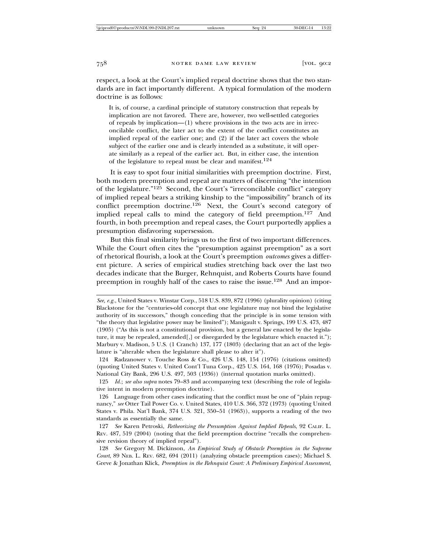respect, a look at the Court's implied repeal doctrine shows that the two standards are in fact importantly different. A typical formulation of the modern doctrine is as follows:

It is, of course, a cardinal principle of statutory construction that repeals by implication are not favored. There are, however, two well-settled categories of repeals by implication—(1) where provisions in the two acts are in irreconcilable conflict, the later act to the extent of the conflict constitutes an implied repeal of the earlier one; and (2) if the later act covers the whole subject of the earlier one and is clearly intended as a substitute, it will operate similarly as a repeal of the earlier act. But, in either case, the intention of the legislature to repeal must be clear and manifest.<sup>124</sup>

It is easy to spot four initial similarities with preemption doctrine. First, both modern preemption and repeal are matters of discerning "the intention of the legislature."125 Second, the Court's "irreconcilable conflict" category of implied repeal bears a striking kinship to the "impossibility" branch of its conflict preemption doctrine.<sup>126</sup> Next, the Court's second category of implied repeal calls to mind the category of field preemption.<sup>127</sup> And fourth, in both preemption and repeal cases, the Court purportedly applies a presumption disfavoring supersession.

But this final similarity brings us to the first of two important differences. While the Court often cites the "presumption against preemption" as a sort of rhetorical flourish, a look at the Court's preemption *outcomes* gives a different picture. A series of empirical studies stretching back over the last two decades indicate that the Burger, Rehnquist, and Roberts Courts have found preemption in roughly half of the cases to raise the issue.<sup>128</sup> And an impor-

*See, e.g.*, United States v. Winstar Corp., 518 U.S. 839, 872 (1996) (plurality opinion) (citing Blackstone for the "centuries-old concept that one legislature may not bind the legislative authority of its successors," though conceding that the principle is in some tension with "the theory that legislative power may be limited"); Manigault v. Springs, 199 U.S. 473, 487 (1905) ("As this is not a constitutional provision, but a general law enacted by the legislature, it may be repealed, amended[,] or disregarded by the legislature which enacted it."); Marbury v. Madison, 5 U.S. (1 Cranch) 137, 177 (1803) (declaring that an act of the legislature is "alterable when the legislature shall please to alter it").

<sup>124</sup> Radzanower v. Touche Ross & Co., 426 U.S. 148, 154 (1976) (citations omitted) (quoting United States v. United Cont'l Tuna Corp., 425 U.S. 164, 168 (1976); Posadas v. National City Bank, 296 U.S. 497, 503 (1936)) (internal quotation marks omitted).

<sup>125</sup> *Id.*; *see also supra* notes 79–83 and accompanying text (describing the role of legislative intent in modern preemption doctrine).

<sup>126</sup> Language from other cases indicating that the conflict must be one of "plain repugnancy," *see* Otter Tail Power Co. v. United States, 410 U.S. 366, 372 (1973) (quoting United States v. Phila. Nat'l Bank, 374 U.S. 321, 350–51 (1963)), supports a reading of the two standards as essentially the same.

<sup>127</sup> *See* Karen Petroski, *Retheorizing the Presumption Against Implied Repeals*, 92 CALIF. L. REV. 487, 519 (2004) (noting that the field preemption doctrine "recalls the comprehensive revision theory of implied repeal").

<sup>128</sup> *See* Gregory M. Dickinson, *An Empirical Study of Obstacle Preemption in the Supreme Court*, 89 NEB. L. REV. 682, 694 (2011) (analyzing obstacle preemption cases); Michael S. Greve & Jonathan Klick, *Preemption in the Rehnquist Court: A Preliminary Empirical Assessment*,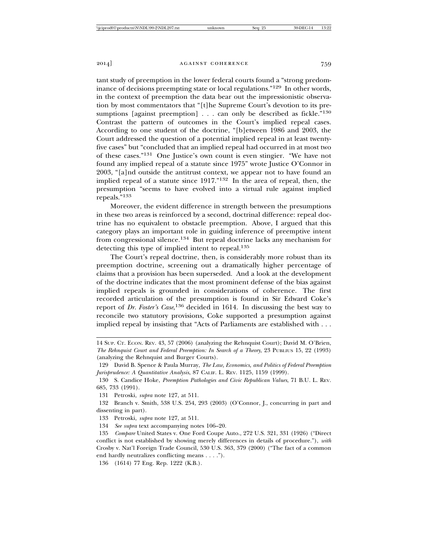tant study of preemption in the lower federal courts found a "strong predominance of decisions preempting state or local regulations."129 In other words, in the context of preemption the data bear out the impressionistic observation by most commentators that "[t]he Supreme Court's devotion to its presumptions [against preemption]  $\ldots$  can only be described as fickle."<sup>130</sup> Contrast the pattern of outcomes in the Court's implied repeal cases. According to one student of the doctrine, "[b]etween 1986 and 2003, the Court addressed the question of a potential implied repeal in at least twentyfive cases" but "concluded that an implied repeal had occurred in at most two of these cases."131 One Justice's own count is even stingier. "We have not found any implied repeal of a statute since 1975" wrote Justice O'Connor in 2003, "[a]nd outside the antitrust context, we appear not to have found an implied repeal of a statute since 1917."132 In the area of repeal, then, the presumption "seems to have evolved into a virtual rule against implied repeals."<sup>133</sup>

Moreover, the evident difference in strength between the presumptions in these two areas is reinforced by a second, doctrinal difference: repeal doctrine has no equivalent to obstacle preemption. Above, I argued that this category plays an important role in guiding inference of preemptive intent from congressional silence.134 But repeal doctrine lacks any mechanism for detecting this type of implied intent to repeal.<sup>135</sup>

The Court's repeal doctrine, then, is considerably more robust than its preemption doctrine, screening out a dramatically higher percentage of claims that a provision has been superseded. And a look at the development of the doctrine indicates that the most prominent defense of the bias against implied repeals is grounded in considerations of coherence. The first recorded articulation of the presumption is found in Sir Edward Coke's report of *Dr. Foster's Case*, 136 decided in 1614. In discussing the best way to reconcile two statutory provisions, Coke supported a presumption against implied repeal by insisting that "Acts of Parliaments are established with . . .

<sup>14</sup> SUP. CT. ECON. REV. 43, 57 (2006) (analyzing the Rehnquist Court); David M. O'Brien, *The Rehnquist Court and Federal Preemption: In Search of a Theory*, 23 PUBLIUS 15, 22 (1993) (analyzing the Rehnquist and Burger Courts).

<sup>129</sup> David B. Spence & Paula Murray, *The Law, Economics, and Politics of Federal Preemption Jurisprudence: A Quantitative Analysis*, 87 CALIF. L. REV. 1125, 1159 (1999).

<sup>130</sup> S. Candice Hoke, *Preemption Pathologies and Civic Republican Values*, 71 B.U. L. REV. 685, 733 (1991).

<sup>131</sup> Petroski, *supra* note 127, at 511.

<sup>132</sup> Branch v. Smith, 538 U.S. 254, 293 (2003) (O'Connor, J., concurring in part and dissenting in part).

<sup>133</sup> Petroski, *supra* note 127, at 511.

<sup>134</sup> *See supra* text accompanying notes 106–20.

<sup>135</sup> *Compare* United States v. One Ford Coupe Auto., 272 U.S. 321, 331 (1926) ("Direct conflict is not established by showing merely differences in details of procedure."), *with* Crosby v. Nat'l Foreign Trade Council, 530 U.S. 363, 379 (2000) ("The fact of a common end hardly neutralizes conflicting means . . . .").

<sup>136 (1614) 77</sup> Eng. Rep. 1222 (K.B.).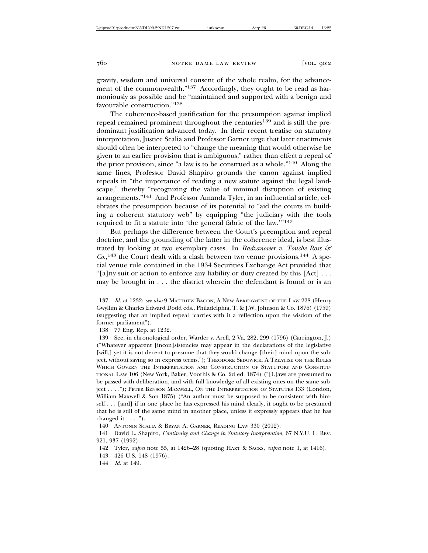gravity, wisdom and universal consent of the whole realm, for the advancement of the commonwealth."<sup>137</sup> Accordingly, they ought to be read as harmoniously as possible and be "maintained and supported with a benign and favourable construction."<sup>138</sup>

The coherence-based justification for the presumption against implied repeal remained prominent throughout the centuries<sup>139</sup> and is still the predominant justification advanced today. In their recent treatise on statutory interpretation, Justice Scalia and Professor Garner urge that later enactments should often be interpreted to "change the meaning that would otherwise be given to an earlier provision that is ambiguous," rather than effect a repeal of the prior provision, since "a law is to be construed as a whole."140 Along the same lines, Professor David Shapiro grounds the canon against implied repeals in "the importance of reading a new statute against the legal landscape," thereby "recognizing the value of minimal disruption of existing arrangements."141 And Professor Amanda Tyler, in an influential article, celebrates the presumption because of its potential to "aid the courts in building a coherent statutory web" by equipping "the judiciary with the tools required to fit a statute into 'the general fabric of the law.'"<sup>142</sup>

But perhaps the difference between the Court's preemption and repeal doctrine, and the grounding of the latter in the coherence ideal, is best illustrated by looking at two exemplary cases. In *Radzanower v. Touche Ross & Co.*, 143 the Court dealt with a clash between two venue provisions.144 A special venue rule contained in the 1934 Securities Exchange Act provided that "[a]ny suit or action to enforce any liability or duty created by this [Act] . . . may be brought in . . . the district wherein the defendant is found or is an

144 *Id.* at 149.

<sup>137</sup> *Id.* at 1232; *see also* 9 MATTHEW BACON, A NEW ABRIDGMENT OF THE LAW 228 (Henry Gwyllim & Charles Edward Dodd eds., Philadelphia, T. & J.W. Johnson & Co. 1876) (1759) (suggesting that an implied repeal "carries with it a reflection upon the wisdom of the former parliament").

<sup>138 77</sup> Eng. Rep. at 1232.

<sup>139</sup> See, in chronological order, Warder v. Arell, 2 Va. 282, 299 (1796) (Carrington, J.) ("Whatever apparent [incon]sistencies may appear in the declarations of the legislative [will,] yet it is not decent to presume that they would change [their] mind upon the subject, without saying so in express terms."); THEODORE SEDGWICK, A TREATISE ON THE RULES WHICH GOVERN THE INTERPRETATION AND CONSTRUCTION OF STATUTORY AND CONSTITU-TIONAL LAW 106 (New York, Baker, Voorhis & Co. 2d ed. 1874) ("[L]aws are presumed to be passed with deliberation, and with full knowledge of all existing ones on the same subject . . . ."); PETER BENSON MAXWELL, ON THE INTERPRETATION OF STATUTES 133 (London, William Maxwell & Son 1875) ("An author must be supposed to be consistent with himself . . . [and] if in one place he has expressed his mind clearly, it ought to be presumed that he is still of the same mind in another place, unless it expressly appears that he has changed it . . . .").

<sup>140</sup> ANTONIN SCALIA & BRYAN A. GARNER, READING LAW 330 (2012).

<sup>141</sup> David L. Shapiro, *Continuity and Change in Statutory Interpretation*, 67 N.Y.U. L. REV. 921, 937 (1992).

<sup>142</sup> Tyler, *supra* note 55, at 1426–28 (quoting HART & SACKS, *supra* note 1, at 1416).

<sup>143 426</sup> U.S. 148 (1976).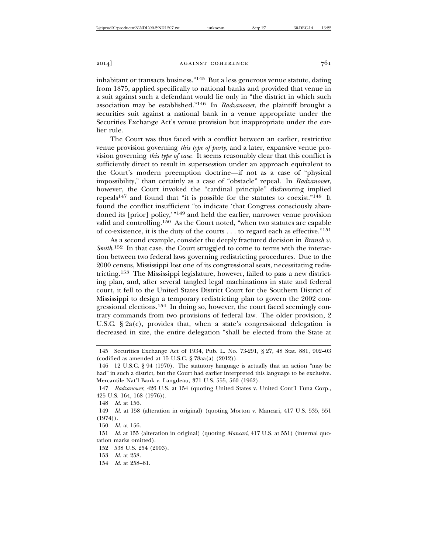inhabitant or transacts business."145 But a less generous venue statute, dating from 1875, applied specifically to national banks and provided that venue in a suit against such a defendant would lie only in "the district in which such association may be established."146 In *Radzanower*, the plaintiff brought a securities suit against a national bank in a venue appropriate under the Securities Exchange Act's venue provision but inappropriate under the earlier rule.

The Court was thus faced with a conflict between an earlier, restrictive venue provision governing *this type of party*, and a later, expansive venue provision governing *this type of case*. It seems reasonably clear that this conflict is sufficiently direct to result in supersession under an approach equivalent to the Court's modern preemption doctrine—if not as a case of "physical impossibility," than certainly as a case of "obstacle" repeal. In *Radzanower*, however, the Court invoked the "cardinal principle" disfavoring implied repeals147 and found that "it is possible for the statutes to coexist."148 It found the conflict insufficient "to indicate 'that Congress consciously abandoned its [prior] policy,'"149 and held the earlier, narrower venue provision valid and controlling.150 As the Court noted, "when two statutes are capable of co-existence, it is the duty of the courts . . . to regard each as effective."<sup>151</sup>

As a second example, consider the deeply fractured decision in *Branch v. Smith*. 152 In that case, the Court struggled to come to terms with the interaction between two federal laws governing redistricting procedures. Due to the 2000 census, Mississippi lost one of its congressional seats, necessitating redistricting.153 The Mississippi legislature, however, failed to pass a new districting plan, and, after several tangled legal machinations in state and federal court, it fell to the United States District Court for the Southern District of Mississippi to design a temporary redistricting plan to govern the 2002 congressional elections.154 In doing so, however, the court faced seemingly contrary commands from two provisions of federal law. The older provision, 2 U.S.C. § 2a(c), provides that, when a state's congressional delegation is decreased in size, the entire delegation "shall be elected from the State at

150 *Id.* at 156.

154 *Id.* at 258–61.

<sup>145</sup> Securities Exchange Act of 1934, Pub. L. No. 73-291, § 27, 48 Stat. 881, 902–03 (codified as amended at 15 U.S.C. § 78aa(a) (2012)).

<sup>146 12</sup> U.S.C. § 94 (1970). The statutory language is actually that an action "may be had" in such a district, but the Court had earlier interpreted this language to be exclusive. Mercantile Nat'l Bank v. Langdeau, 371 U.S. 555, 560 (1962).

<sup>147</sup> *Radzanower*, 426 U.S. at 154 (quoting United States v. United Cont'l Tuna Corp., 425 U.S. 164, 168 (1976)).

<sup>148</sup> *Id.* at 156.

<sup>149</sup> *Id.* at 158 (alteration in original) (quoting Morton v. Mancari, 417 U.S. 535, 551  $(1974)$ .

<sup>151</sup> *Id.* at 155 (alteration in original) (quoting *Mancari*, 417 U.S. at 551) (internal quotation marks omitted).

<sup>152 538</sup> U.S. 254 (2003).

<sup>153</sup> *Id.* at 258.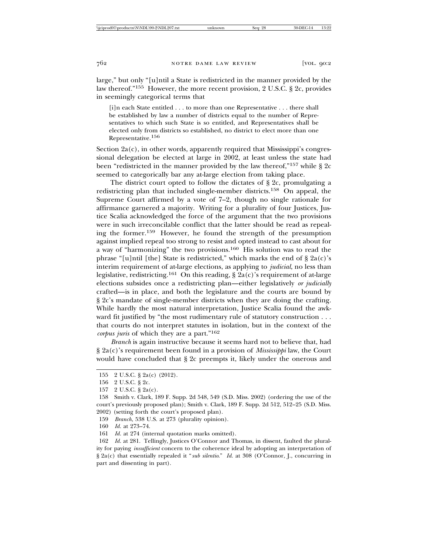large," but only "[u]ntil a State is redistricted in the manner provided by the law thereof."155 However, the more recent provision, 2 U.S.C. § 2c, provides in seemingly categorical terms that

[i]n each State entitled . . . to more than one Representative . . . there shall be established by law a number of districts equal to the number of Representatives to which such State is so entitled, and Representatives shall be elected only from districts so established, no district to elect more than one Representative.156

Section  $2a(c)$ , in other words, apparently required that Mississippi's congressional delegation be elected at large in 2002, at least unless the state had been "redistricted in the manner provided by the law thereof,"157 while § 2c seemed to categorically bar any at-large election from taking place.

The district court opted to follow the dictates of § 2c, promulgating a redistricting plan that included single-member districts.158 On appeal, the Supreme Court affirmed by a vote of 7–2, though no single rationale for affirmance garnered a majority. Writing for a plurality of four Justices, Justice Scalia acknowledged the force of the argument that the two provisions were in such irreconcilable conflict that the latter should be read as repealing the former.159 However, he found the strength of the presumption against implied repeal too strong to resist and opted instead to cast about for a way of "harmonizing" the two provisions.160 His solution was to read the phrase "[u]ntil [the] State is redistricted," which marks the end of  $\S$  2a(c)'s interim requirement of at-large elections, as applying to *judicial*, no less than legislative, redistricting.<sup>161</sup> On this reading,  $\S$  2a(c)'s requirement of at-large elections subsides once a redistricting plan—either legislatively *or judicially* crafted—is in place, and both the legislature and the courts are bound by § 2c's mandate of single-member districts when they are doing the crafting. While hardly the most natural interpretation, Justice Scalia found the awkward fit justified by "the most rudimentary rule of statutory construction . . . that courts do not interpret statutes in isolation, but in the context of the *corpus juris* of which they are a part."<sup>162</sup>

*Branch* is again instructive because it seems hard not to believe that, had § 2a(c)'s requirement been found in a provision of *Mississippi* law, the Court would have concluded that § 2c preempts it, likely under the onerous and

159 *Branch*, 538 U.S. at 273 (plurality opinion).

160 *Id.* at 273–74.

<sup>155 2</sup> U.S.C. § 2a(c) (2012).

<sup>156 2</sup> U.S.C. § 2c.

<sup>157 2</sup> U.S.C. § 2a(c).

<sup>158</sup> Smith v. Clark, 189 F. Supp. 2d 548, 549 (S.D. Miss. 2002) (ordering the use of the court's previously proposed plan); Smith v. Clark, 189 F. Supp. 2d 512, 512–25 (S.D. Miss. 2002) (setting forth the court's proposed plan).

<sup>161</sup> *Id.* at 274 (internal quotation marks omitted).

<sup>162</sup> *Id.* at 281. Tellingly, Justices O'Connor and Thomas, in dissent, faulted the plurality for paying *insufficient* concern to the coherence ideal by adopting an interpretation of § 2a(c) that essentially repealed it "*sub silentio*." *Id.* at 308 (O'Connor, J., concurring in part and dissenting in part).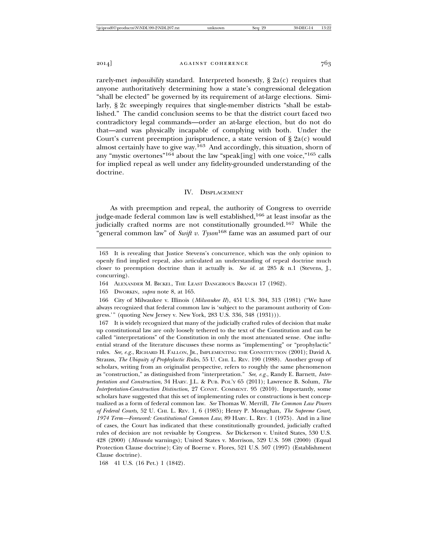rarely-met *impossibility* standard. Interpreted honestly, § 2a(c) requires that anyone authoritatively determining how a state's congressional delegation "shall be elected" be governed by its requirement of at-large elections. Similarly, § 2c sweepingly requires that single-member districts "shall be established." The candid conclusion seems to be that the district court faced two contradictory legal commands—order an at-large election, but do not do that—and was physically incapable of complying with both. Under the Court's current preemption jurisprudence, a state version of  $\S 2a(c)$  would almost certainly have to give way.163 And accordingly, this situation, shorn of any "mystic overtones"164 about the law "speak[ing] with one voice,"165 calls for implied repeal as well under any fidelity-grounded understanding of the doctrine.

#### IV. DISPLACEMENT

As with preemption and repeal, the authority of Congress to override judge-made federal common law is well established,<sup>166</sup> at least insofar as the judicially crafted norms are not constitutionally grounded.167 While the "general common law" of *Swift v. Tyson*168 fame was an assumed part of our

<sup>163</sup> It is revealing that Justice Stevens's concurrence, which was the only opinion to openly find implied repeal, also articulated an understanding of repeal doctrine much closer to preemption doctrine than it actually is. *See id.* at 285 & n.1 (Stevens, J., concurring).

<sup>164</sup> ALEXANDER M. BICKEL, THE LEAST DANGEROUS BRANCH 17 (1962).

<sup>165</sup> DWORKIN, *supra* note 8, at 165.

<sup>166</sup> City of Milwaukee v. Illinois (*Milwaukee II*), 451 U.S. 304, 313 (1981) ("We have always recognized that federal common law is 'subject to the paramount authority of Congress.'" (quoting New Jersey v. New York, 283 U.S. 336, 348 (1931))).

<sup>167</sup> It is widely recognized that many of the judicially crafted rules of decision that make up constitutional law are only loosely tethered to the text of the Constitution and can be called "interpretations" of the Constitution in only the most attenuated sense. One influential strand of the literature discusses these norms as "implementing" or "prophylactic" rules. *See, e.g.*, RICHARD H. FALLON, JR., IMPLEMENTING THE CONSTITUTION (2001); David A. Strauss, *The Ubiquity of Prophylactic Rules*, 55 U. CHI. L. REV. 190 (1988). Another group of scholars, writing from an originalist perspective, refers to roughly the same phenomenon as "construction," as distinguished from "interpretation." *See*, *e.g.*, Randy E. Barnett, *Interpretation and Construction*, 34 HARV. J.L. & PUB. POL'Y 65 (2011); Lawrence B. Solum, *The Interpretation-Construction Distinction*, 27 CONST. COMMENT. 95 (2010). Importantly, some scholars have suggested that this set of implementing rules or constructions is best conceptualized as a form of federal common law. *See* Thomas W. Merrill, *The Common Law Powers of Federal Courts*, 52 U. CHI. L. REV. 1, 6 (1985); Henry P. Monaghan, *The Supreme Court, 1974 Term—Foreword: Constitutional Common Law*, 89 HARV. L. REV. 1 (1975). And in a line of cases, the Court has indicated that these constitutionally grounded, judicially crafted rules of decision are not revisable by Congress. *See* Dickerson v. United States, 530 U.S. 428 (2000) (*Miranda* warnings); United States v. Morrison, 529 U.S. 598 (2000) (Equal Protection Clause doctrine); City of Boerne v. Flores, 521 U.S. 507 (1997) (Establishment Clause doctrine).

<sup>168 41</sup> U.S. (16 Pet.) 1 (1842).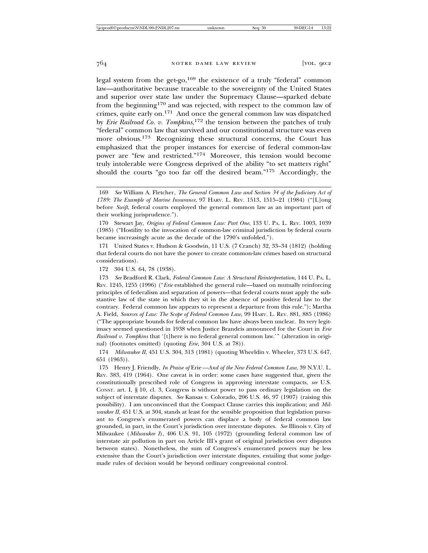legal system from the get-go, $169$  the existence of a truly "federal" common law—authoritative because traceable to the sovereignty of the United States and superior over state law under the Supremacy Clause—sparked debate from the beginning170 and was rejected, with respect to the common law of crimes, quite early on.171 And once the general common law was dispatched by *Erie Railroad Co. v. Tompkins*, 172 the tension between the patches of truly "federal" common law that survived and our constitutional structure was even more obvious.173 Recognizing these structural concerns, the Court has emphasized that the proper instances for exercise of federal common-law power are "few and restricted."174 Moreover, this tension would become truly intolerable were Congress deprived of the ability "to set matters right" should the courts "go too far off the desired beam."175 Accordingly, the

171 United States v. Hudson & Goodwin, 11 U.S. (7 Cranch) 32, 33–34 (1812) (holding that federal courts do not have the power to create common-law crimes based on structural considerations).

172 304 U.S. 64, 78 (1938).

173 *See* Bradford R. Clark, *Federal Common Law: A Structural Reinterpretation*, 144 U. PA. L. REV. 1245, 1255 (1996) ("*Erie* established the general rule—based on mutually reinforcing principles of federalism and separation of powers—that federal courts must apply the substantive law of the state in which they sit in the absence of positive federal law to the contrary. Federal common law appears to represent a departure from this rule."); Martha A. Field, *Sources of Law: The Scope of Federal Common Law*, 99 HARV. L. REV. 881, 885 (1986) ("The appropriate bounds for federal common law have always been unclear. Its very legitimacy seemed questioned in 1938 when Justice Brandeis announced for the Court in *Erie Railroad v. Tompkins* that '[t]here is no federal general common law.'" (alteration in original) (footnotes omitted) (quoting *Erie*, 304 U.S. at 78)).

174 *Milwaukee II*, 451 U.S. 304, 313 (1981) (quoting Wheeldin v. Wheeler, 373 U.S. 647, 651 (1963)).

175 Henry J. Friendly, *In Praise of* Erie*—And of the New Federal Common Law*, 39 N.Y.U. L. REV. 383, 419 (1964). One caveat is in order: some cases have suggested that, given the constitutionally prescribed role of Congress in approving interstate compacts, *see* U.S. CONST. art. I, § 10, cl. 3, Congress is without power to pass ordinary legislation on the subject of interstate disputes. *See* Kansas v. Colorado, 206 U.S. 46, 97 (1907) (raising this possibility). I am unconvinced that the Compact Clause carries this implication; and *Milwaukee II*, 451 U.S. at 304, stands at least for the sensible proposition that legislation pursuant to Congress's enumerated powers can displace a body of federal common law grounded, in part, in the Court's jurisdiction over interstate disputes. *See* Illinois v. City of Milwaukee (*Milwaukee I*), 406 U.S. 91, 105 (1972) (grounding federal common law of interstate air pollution in part on Article III's grant of original jurisdiction over disputes between states). Nonetheless, the sum of Congress's enumerated powers may be less extensive than the Court's jurisdiction over interstate disputes, entailing that some judgemade rules of decision would be beyond ordinary congressional control.

<sup>169</sup> *See* William A. Fletcher, *The General Common Law and Section 34 of the Judiciary Act of 1789: The Example of Marine Insurance*, 97 HARV. L. REV. 1513, 1515–21 (1984) ("[L]ong before *Swift*, federal courts employed the general common law as an important part of their working jurisprudence.").

<sup>170</sup> Stewart Jay, *Origins of Federal Common Law: Part One*, 133 U. PA. L. REV. 1003, 1039 (1985) ("Hostility to the invocation of common-law criminal jurisdiction by federal courts became increasingly acute as the decade of the 1790's unfolded.").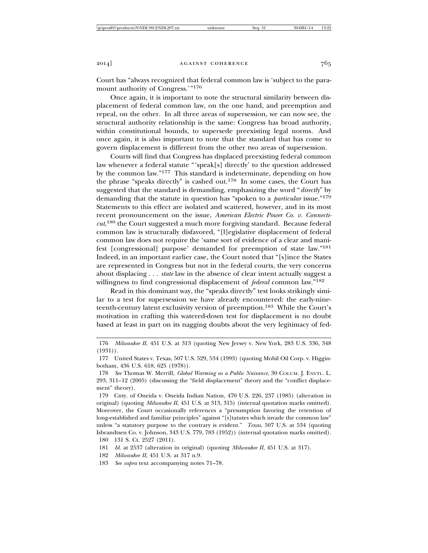Court has "always recognized that federal common law is 'subject to the paramount authority of Congress.'"<sup>176</sup>

Once again, it is important to note the structural similarity between displacement of federal common law, on the one hand, and preemption and repeal, on the other. In all three areas of supersession, we can now see, the structural authority relationship is the same: Congress has broad authority, within constitutional bounds, to supersede preexisting legal norms. And once again, it is also important to note that the standard that has come to govern displacement is different from the other two areas of supersession.

Courts will find that Congress has displaced preexisting federal common law whenever a federal statute "'speak[s] directly' to the question addressed by the common law."177 This standard is indeterminate, depending on how the phrase "speaks directly" is cashed out.178 In some cases, the Court has suggested that the standard is demanding, emphasizing the word "*directly*" by demanding that the statute in question has "spoken to a *particular* issue."179 Statements to this effect are isolated and scattered, however, and in its most recent pronouncement on the issue, *American Electric Power Co. v. Connecticut*, 180 the Court suggested a much more forgiving standard. Because federal common law is structurally disfavored, "[l]egislative displacement of federal common law does not require the 'same sort of evidence of a clear and manifest [congressional] purpose' demanded for preemption of state law."<sup>181</sup> Indeed, in an important earlier case, the Court noted that "[s]ince the States are represented in Congress but not in the federal courts, the very concerns about displacing . . . *state* law in the absence of clear intent actually suggest a willingness to find congressional displacement of *federal* common law."182

Read in this dominant way, the "speaks directly" test looks strikingly similar to a test for supersession we have already encountered: the early-nineteenth-century latent exclusivity version of preemption.183 While the Court's motivation in crafting this watered-down test for displacement is no doubt based at least in part on its nagging doubts about the very legitimacy of fed-

- 182 *Milwaukee II*, 451 U.S. at 317 n.9.
- 183 *See supra* text accompanying notes 71–78.

<sup>176</sup> *Milwaukee II*, 451 U.S. at 313 (quoting New Jersey v. New York, 283 U.S. 336, 348 (1931)).

<sup>177</sup> United States v. Texas, 507 U.S. 529, 534 (1993) (quoting Mobil Oil Corp. v. Higginbotham, 436 U.S. 618, 625 (1978)).

<sup>178</sup> *See* Thomas W. Merrill, *Global Warming as a Public Nuisance*, 30 COLUM. J. ENVTL. L. 293, 311–12 (2005) (discussing the "field displacement" theory and the "conflict displacement" theory).

<sup>179</sup> Cnty. of Oneida v. Oneida Indian Nation, 470 U.S. 226, 237 (1985) (alteration in original) (quoting *Milwaukee II*, 451 U.S. at 313, 315) (internal quotation marks omitted). Moreover, the Court occasionally references a "presumption favoring the retention of long-established and familiar principles" against "[s]tatutes which invade the common law" unless "a statutory purpose to the contrary is evident." *Texas*, 507 U.S. at 534 (quoting Isbrandtsen Co. v. Johnson, 343 U.S. 779, 783 (1952)) (internal quotation marks omitted). 180 131 S. Ct. 2527 (2011).

<sup>181</sup> *Id.* at 2537 (alteration in original) (quoting *Milwaukee II*, 451 U.S. at 317).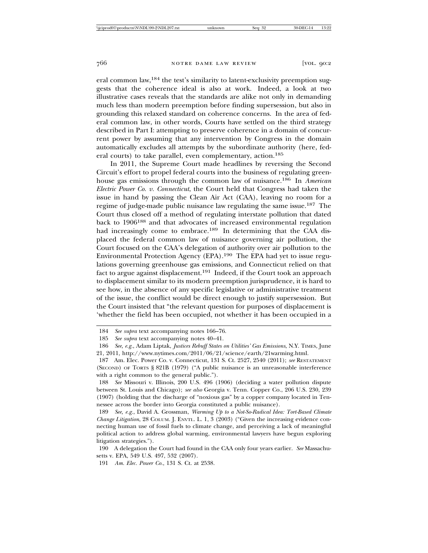eral common law,184 the test's similarity to latent-exclusivity preemption suggests that the coherence ideal is also at work. Indeed, a look at two illustrative cases reveals that the standards are alike not only in demanding much less than modern preemption before finding supersession, but also in grounding this relaxed standard on coherence concerns. In the area of federal common law, in other words, Courts have settled on the third strategy described in Part I: attempting to preserve coherence in a domain of concurrent power by assuming that any intervention by Congress in the domain automatically excludes all attempts by the subordinate authority (here, federal courts) to take parallel, even complementary, action.<sup>185</sup>

In 2011, the Supreme Court made headlines by reversing the Second Circuit's effort to propel federal courts into the business of regulating greenhouse gas emissions through the common law of nuisance.186 In *American Electric Power Co. v. Connecticut*, the Court held that Congress had taken the issue in hand by passing the Clean Air Act (CAA), leaving no room for a regime of judge-made public nuisance law regulating the same issue.187 The Court thus closed off a method of regulating interstate pollution that dated back to 1906188 and that advocates of increased environmental regulation had increasingly come to embrace.<sup>189</sup> In determining that the CAA displaced the federal common law of nuisance governing air pollution, the Court focused on the CAA's delegation of authority over air pollution to the Environmental Protection Agency (EPA).190 The EPA had yet to issue regulations governing greenhouse gas emissions, and Connecticut relied on that fact to argue against displacement.<sup>191</sup> Indeed, if the Court took an approach to displacement similar to its modern preemption jurisprudence, it is hard to see how, in the absence of any specific legislative or administrative treatment of the issue, the conflict would be direct enough to justify supersession. But the Court insisted that "the relevant question for purposes of displacement is 'whether the field has been occupied, not whether it has been occupied in a

<sup>184</sup> *See supra* text accompanying notes 166–76.

<sup>185</sup> *See supra* text accompanying notes 40–41.

<sup>186</sup> *See, e.g.*, Adam Liptak, *Justices Rebuff States on Utilities' Gas Emissions*, N.Y. TIMES, June 21, 2011, http://www.nytimes.com/2011/06/21/science/earth/21warming.html.

<sup>187</sup> Am. Elec. Power Co. v. Connecticut, 131 S. Ct. 2527, 2540 (2011); *see* RESTATEMENT (SECOND) OF TORTS § 821B (1979) ("A public nuisance is an unreasonable interference with a right common to the general public.").

<sup>188</sup> *See* Missouri v. Illinois, 200 U.S. 496 (1906) (deciding a water pollution dispute between St. Louis and Chicago); *see also* Georgia v. Tenn. Copper Co., 206 U.S. 230, 239 (1907) (holding that the discharge of "noxious gas" by a copper company located in Tennessee across the border into Georgia constituted a public nuisance).

<sup>189</sup> *See, e.g.*, David A. Grossman, *Warming Up to a Not-So-Radical Idea: Tort-Based Climate Change Litigation*, 28 COLUM. J. ENVTL. L. 1, 3 (2003) ("Given the increasing evidence connecting human use of fossil fuels to climate change, and perceiving a lack of meaningful political action to address global warming, environmental lawyers have begun exploring litigation strategies.").

<sup>190</sup> A delegation the Court had found in the CAA only four years earlier. *See* Massachusetts v. EPA, 549 U.S. 497, 532 (2007).

<sup>191</sup> *Am. Elec. Power Co.*, 131 S. Ct. at 2538.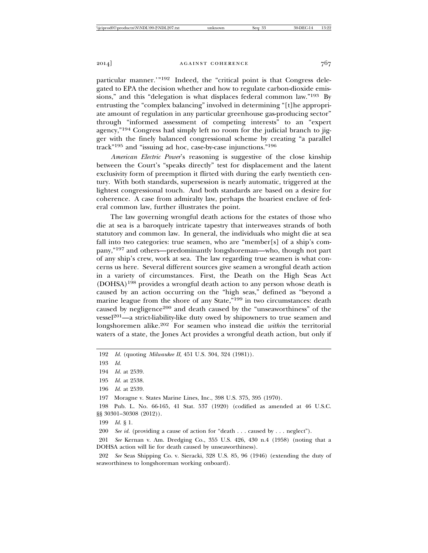particular manner.'"192 Indeed, the "critical point is that Congress delegated to EPA the decision whether and how to regulate carbon-dioxide emissions," and this "delegation is what displaces federal common law."193 By entrusting the "complex balancing" involved in determining "[t]he appropriate amount of regulation in any particular greenhouse gas-producing sector" through "informed assessment of competing interests" to an "expert agency,"194 Congress had simply left no room for the judicial branch to jigger with the finely balanced congressional scheme by creating "a parallel track"195 and "issuing ad hoc, case-by-case injunctions."196

*American Electric Power*'s reasoning is suggestive of the close kinship between the Court's "speaks directly" test for displacement and the latent exclusivity form of preemption it flirted with during the early twentieth century. With both standards, supersession is nearly automatic, triggered at the lightest congressional touch. And both standards are based on a desire for coherence. A case from admiralty law, perhaps the hoariest enclave of federal common law, further illustrates the point.

The law governing wrongful death actions for the estates of those who die at sea is a baroquely intricate tapestry that interweaves strands of both statutory and common law. In general, the individuals who might die at sea fall into two categories: true seamen, who are "member[s] of a ship's company,"197 and others—predominantly longshoreman—who, though not part of any ship's crew, work at sea. The law regarding true seamen is what concerns us here. Several different sources give seamen a wrongful death action in a variety of circumstances. First, the Death on the High Seas Act (DOHSA)198 provides a wrongful death action to any person whose death is caused by an action occurring on the "high seas," defined as "beyond a marine league from the shore of any State,"<sup>199</sup> in two circumstances: death caused by negligence<sup>200</sup> and death caused by the "unseaworthiness" of the  $vessel<sup>201</sup>$ —a strict-liability-like duty owed by shipowners to true seamen and longshoremen alike.202 For seamen who instead die *within* the territorial waters of a state, the Jones Act provides a wrongful death action, but only if

195 *Id.* at 2538.

197 Moragne v. States Marine Lines, Inc., 398 U.S. 375, 395 (1970).

199 *Id.* § 1.

200 *See id.* (providing a cause of action for "death . . . caused by . . . neglect").

201 *See* Kernan v. Am. Dredging Co., 355 U.S. 426, 430 n.4 (1958) (noting that a DOHSA action will lie for death caused by unseaworthiness).

202 *See* Seas Shipping Co. v. Sieracki, 328 U.S. 85, 96 (1946) (extending the duty of seaworthiness to longshoreman working onboard).

<sup>192</sup> *Id.* (quoting *Milwaukee II*, 451 U.S. 304, 324 (1981)).

<sup>193</sup> *Id.*

<sup>194</sup> *Id.* at 2539.

<sup>196</sup> *Id.* at 2539.

<sup>198</sup> Pub. L. No. 66-165, 41 Stat. 537 (1920) (codified as amended at 46 U.S.C. §§ 30301–30308 (2012)).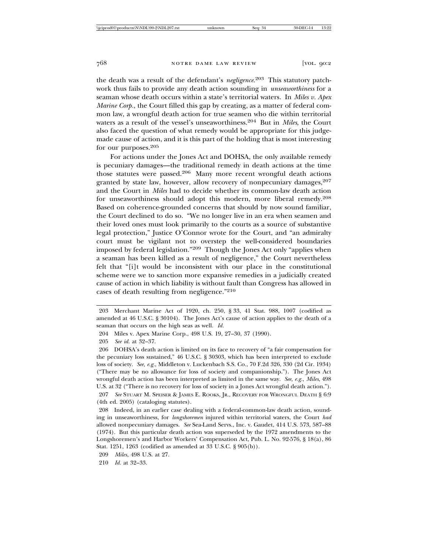the death was a result of the defendant's *negligence*. 203 This statutory patchwork thus fails to provide any death action sounding in *unseaworthiness* for a seaman whose death occurs within a state's territorial waters. In *Miles v. Apex Marine Corp.*, the Court filled this gap by creating, as a matter of federal common law, a wrongful death action for true seamen who die within territorial waters as a result of the vessel's unseaworthiness.204 But in *Miles*, the Court also faced the question of what remedy would be appropriate for this judgemade cause of action, and it is this part of the holding that is most interesting for our purposes.<sup>205</sup>

For actions under the Jones Act and DOHSA, the only available remedy is pecuniary damages—the traditional remedy in death actions at the time those statutes were passed.206 Many more recent wrongful death actions granted by state law, however, allow recovery of nonpecuniary damages,  $207$ and the Court in *Miles* had to decide whether its common-law death action for unseaworthiness should adopt this modern, more liberal remedy.<sup>208</sup> Based on coherence-grounded concerns that should by now sound familiar, the Court declined to do so. "We no longer live in an era when seamen and their loved ones must look primarily to the courts as a source of substantive legal protection," Justice O'Connor wrote for the Court, and "an admiralty court must be vigilant not to overstep the well-considered boundaries imposed by federal legislation."209 Though the Jones Act only "applies when a seaman has been killed as a result of negligence," the Court nevertheless felt that "[i]t would be inconsistent with our place in the constitutional scheme were we to sanction more expansive remedies in a judicially created cause of action in which liability is without fault than Congress has allowed in cases of death resulting from negligence."<sup>210</sup>

210 *Id.* at 32–33.

<sup>203</sup> Merchant Marine Act of 1920, ch. 250, § 33, 41 Stat. 988, 1007 (codified as amended at 46 U.S.C. § 30104). The Jones Act's cause of action applies to the death of a seaman that occurs on the high seas as well. *Id.*

<sup>204</sup> Miles v. Apex Marine Corp., 498 U.S. 19, 27–30, 37 (1990).

<sup>205</sup> *See id.* at 32–37.

<sup>206</sup> DOHSA's death action is limited on its face to recovery of "a fair compensation for the pecuniary loss sustained," 46 U.S.C. § 30303, which has been interpreted to exclude loss of society. *See, e.g.*, Middleton v. Luckenbach S.S. Co., 70 F.2d 326, 330 (2d Cir. 1934) ("There may be no allowance for loss of society and companionship."). The Jones Act wrongful death action has been interpreted as limited in the same way. *See, e.g.*, *Miles*, 498 U.S. at 32 ("There is no recovery for loss of society in a Jones Act wrongful death action."). 207 *See* STUART M. SPEISER & JAMES E. ROOKS, JR., RECOVERY FOR WRONGFUL DEATH § 6:9 (4th ed. 2005) (cataloging statutes).

<sup>208</sup> Indeed, in an earlier case dealing with a federal-common-law death action, sounding in unseaworthiness, for *longshoremen* injured within territorial waters, the Court *had* allowed nonpecuniary damages. *See* Sea-Land Servs., Inc. v. Gaudet, 414 U.S. 573, 587–88 (1974). But this particular death action was superseded by the 1972 amendments to the Longshoremen's and Harbor Workers' Compensation Act, Pub. L. No. 92-576, § 18(a), 86 Stat. 1251, 1263 (codified as amended at 33 U.S.C. § 905(b)).

<sup>209</sup> *Miles*, 498 U.S. at 27.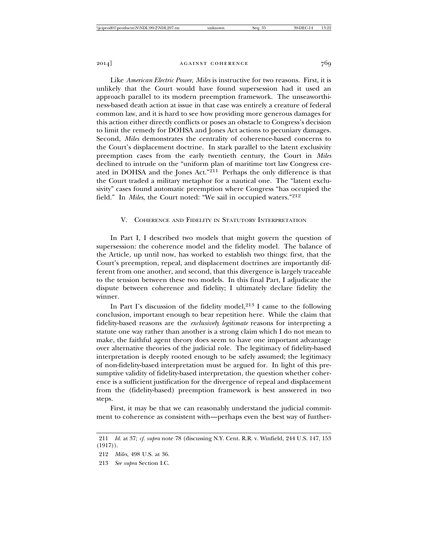Like *American Electric Power*, *Miles* is instructive for two reasons. First, it is unlikely that the Court would have found supersession had it used an approach parallel to its modern preemption framework. The unseaworthiness-based death action at issue in that case was entirely a creature of federal common law, and it is hard to see how providing more generous damages for this action either directly conflicts or poses an obstacle to Congress's decision to limit the remedy for DOHSA and Jones Act actions to pecuniary damages. Second, *Miles* demonstrates the centrality of coherence-based concerns to the Court's displacement doctrine. In stark parallel to the latent exclusivity preemption cases from the early twentieth century, the Court in *Miles* declined to intrude on the "uniform plan of maritime tort law Congress created in DOHSA and the Jones Act."211 Perhaps the only difference is that the Court traded a military metaphor for a nautical one. The "latent exclusivity" cases found automatic preemption where Congress "has occupied the field." In *Miles*, the Court noted: "We sail in occupied waters."<sup>212</sup>

# V. COHERENCE AND FIDELITY IN STATUTORY INTERPRETATION

In Part I, I described two models that might govern the question of supersession: the coherence model and the fidelity model. The balance of the Article, up until now, has worked to establish two things: first, that the Court's preemption, repeal, and displacement doctrines are importantly different from one another, and second, that this divergence is largely traceable to the tension between these two models. In this final Part, I adjudicate the dispute between coherence and fidelity; I ultimately declare fidelity the winner.

In Part I's discussion of the fidelity model,  $213$  I came to the following conclusion, important enough to bear repetition here. While the claim that fidelity-based reasons are the *exclusively legitimate* reasons for interpreting a statute one way rather than another is a strong claim which I do not mean to make, the faithful agent theory does seem to have one important advantage over alternative theories of the judicial role. The legitimacy of fidelity-based interpretation is deeply rooted enough to be safely assumed; the legitimacy of non-fidelity-based interpretation must be argued for. In light of this presumptive validity of fidelity-based interpretation, the question whether coherence is a sufficient justification for the divergence of repeal and displacement from the (fidelity-based) preemption framework is best answered in two steps.

First, it may be that we can reasonably understand the judicial commitment to coherence as consistent with—perhaps even the best way of further-

<sup>211</sup> *Id.* at 37; *cf. supra* note 78 (discussing N.Y. Cent. R.R. v. Winfield, 244 U.S. 147, 153 (1917)).

<sup>212</sup> *Miles*, 498 U.S. at 36.

<sup>213</sup> *See supra* Section I.C.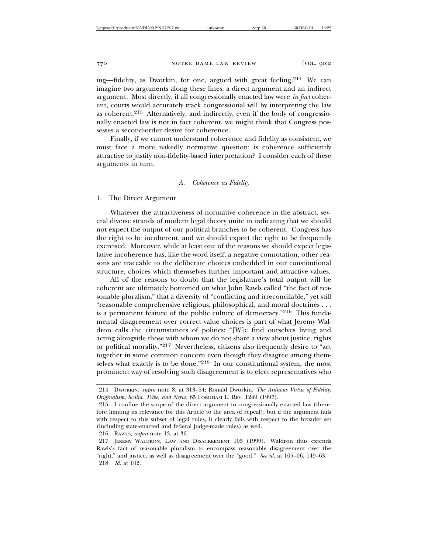ing—fidelity, as Dworkin, for one, argued with great feeling.<sup>214</sup> We can imagine two arguments along these lines: a direct argument and an indirect argument. Most directly, if all congressionally enacted law were *in fact* coherent, courts would accurately track congressional will by interpreting the law as coherent.215 Alternatively, and indirectly, even if the body of congressionally enacted law is not in fact coherent, we might think that Congress possesses a second-order desire for coherence.

Finally, if we cannot understand coherence and fidelity as consistent, we must face a more nakedly normative question: is coherence sufficiently attractive to justify non-fidelity-based interpretation? I consider each of these arguments in turn.

#### *A. Coherence as Fidelity*

1. The Direct Argument

Whatever the attractiveness of normative coherence in the abstract, several diverse strands of modern legal theory unite in indicating that we should not expect the output of our political branches to be coherent. Congress has the right to be incoherent, and we should expect the right to be frequently exercised. Moreover, while at least one of the reasons we should expect legislative incoherence has, like the word itself, a negative connotation, other reasons are traceable to the deliberate choices embedded in our constitutional structure, choices which themselves further important and attractive values.

All of the reasons to doubt that the legislature's total output will be coherent are ultimately bottomed on what John Rawls called "the fact of reasonable pluralism," that a diversity of "conflicting and irreconcilable," yet still "reasonable comprehensive religious, philosophical, and moral doctrines . . . is a permanent feature of the public culture of democracy."216 This fundamental disagreement over correct value choices is part of what Jeremy Waldron calls the circumstances of politics: "[W]e find ourselves living and acting alongside those with whom we do not share a view about justice, rights or political morality."217 Nevertheless, citizens also frequently desire to "act together in some common concern even though they disagree among themselves what exactly is to be done."218 In our constitutional system, the most prominent way of resolving such disagreement is to elect representatives who

216 RAWLS, *supra* note 13, at 36.

<sup>214</sup> DWORKIN, *supra* note 8, at 313–54; Ronald Dworkin, *The Arduous Virtue of Fidelity: Originalism, Scalia, Tribe, and Nerve*, 65 FORDHAM L. REV. 1249 (1997).

<sup>215</sup> I confine the scope of the direct argument to congressionally enacted law (therefore limiting its relevance for this Article to the area of repeal); but if the argument fails with respect to this subset of legal rules, it clearly fails with respect to the broader set (including state-enacted and federal judge-made rules) as well.

<sup>217</sup> JEREMY WALDRON, LAW AND DISAGREEMENT 105 (1999). Waldron thus extends Rawls's fact of reasonable pluralism to encompass reasonable disagreement over the "right," and justice, as well as disagreement over the "good." *See id.* at 105–06, 149–63. 218 *Id.* at 102.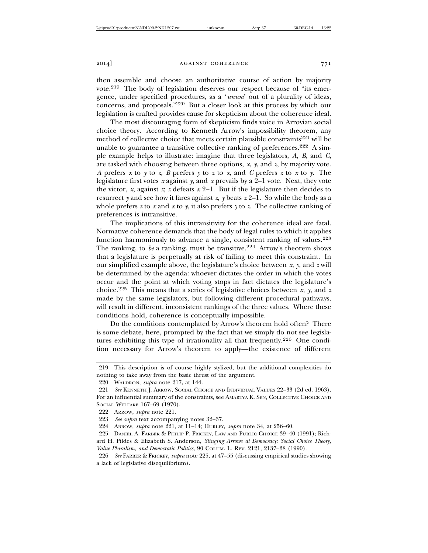then assemble and choose an authoritative course of action by majority vote.219 The body of legislation deserves our respect because of "its emergence, under specified procedures, as a '*unum*' out of a plurality of ideas, concerns, and proposals."220 But a closer look at this process by which our legislation is crafted provides cause for skepticism about the coherence ideal.

The most discouraging form of skepticism finds voice in Arrovian social choice theory. According to Kenneth Arrow's impossibility theorem, any method of collective choice that meets certain plausible constraints $221$  will be unable to guarantee a transitive collective ranking of preferences.<sup>222</sup> A simple example helps to illustrate: imagine that three legislators, *A*, *B*, and *C*, are tasked with choosing between three options, *x*, *y*, and *z*, by majority vote. *A* prefers *x* to *y* to *z*, *B* prefers *y* to *z* to *x*, and *C* prefers *z* to *x* to *y*. The legislature first votes *x* against *y*, and *x* prevails by a 2–1 vote. Next, they vote the victor, *x*, against *z*; *z* defeats  $x$  2–1. But if the legislature then decides to resurrect *y* and see how it fares against *z*, *y* beats *z* 2–1. So while the body as a whole prefers *z* to *x* and *x* to *y*, it also prefers *y* to *z*. The collective ranking of preferences is intransitive.

The implications of this intransitivity for the coherence ideal are fatal. Normative coherence demands that the body of legal rules to which it applies function harmoniously to advance a single, consistent ranking of values.<sup>223</sup> The ranking, to *be* a ranking, must be transitive.<sup>224</sup> Arrow's theorem shows that a legislature is perpetually at risk of failing to meet this constraint. In our simplified example above, the legislature's choice between *x*, *y*, and *z* will be determined by the agenda: whoever dictates the order in which the votes occur and the point at which voting stops in fact dictates the legislature's choice.225 This means that a series of legislative choices between *x*, *y*, and *z* made by the same legislators, but following different procedural pathways, will result in different, inconsistent rankings of the three values. Where these conditions hold, coherence is conceptually impossible.

Do the conditions contemplated by Arrow's theorem hold often? There is some debate, here, prompted by the fact that we simply do not see legislatures exhibiting this type of irrationality all that frequently.226 One condition necessary for Arrow's theorem to apply—the existence of different

<sup>219</sup> This description is of course highly stylized, but the additional complexities do nothing to take away from the basic thrust of the argument.

<sup>220</sup> WALDRON, *supra* note 217, at 144.

<sup>221</sup> *See* KENNETH J. ARROW, SOCIAL CHOICE AND INDIVIDUAL VALUES 22–33 (2d ed. 1963). For an influential summary of the constraints, see AMARTYA K. SEN, COLLECTIVE CHOICE AND SOCIAL WELFARE 167–69 (1970).

<sup>222</sup> ARROW, *supra* note 221.

<sup>223</sup> *See supra* text accompanying notes 32–37.

<sup>224</sup> ARROW, *supra* note 221, at 11–14; HURLEY, *supra* note 34, at 256–60.

<sup>225</sup> DANIEL A. FARBER & PHILIP P. FRICKEY, LAW AND PUBLIC CHOICE 39–40 (1991); Rich-

ard H. Pildes & Elizabeth S. Anderson, *Slinging Arrows at Democracy: Social Choice Theory, Value Pluralism, and Democratic Politics*, 90 COLUM. L. REV. 2121, 2137–38 (1990).

<sup>226</sup> *See* FARBER & FRICKEY, *supra* note 225, at 47–55 (discussing empirical studies showing a lack of legislative disequilibrium).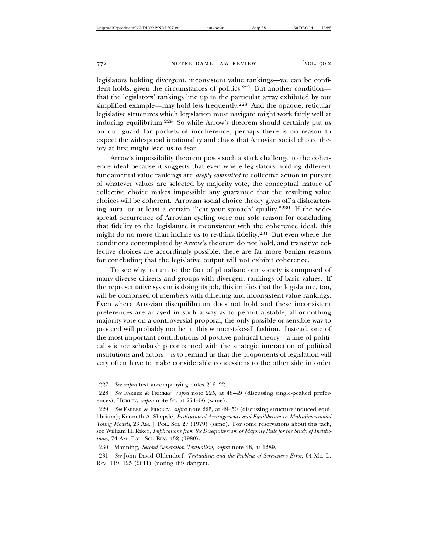legislators holding divergent, inconsistent value rankings—we can be confident holds, given the circumstances of politics.<sup>227</sup> But another condition that the legislators' rankings line up in the particular array exhibited by our simplified example—may hold less frequently.228 And the opaque, reticular legislative structures which legislation must navigate might work fairly well at inducing equilibrium.229 So while Arrow's theorem should certainly put us on our guard for pockets of incoherence, perhaps there is no reason to expect the widespread irrationality and chaos that Arrovian social choice theory at first might lead us to fear.

Arrow's impossibility theorem poses such a stark challenge to the coherence ideal because it suggests that even where legislators holding different fundamental value rankings are *deeply committed* to collective action in pursuit of whatever values are selected by majority vote, the conceptual nature of collective choice makes impossible any guarantee that the resulting value choices will be coherent. Arrovian social choice theory gives off a disheartening aura, or at least a certain "'eat your spinach' quality."230 If the widespread occurrence of Arrovian cycling were our sole reason for concluding that fidelity to the legislature is inconsistent with the coherence ideal, this might do no more than incline us to re-think fidelity.231 But even where the conditions contemplated by Arrow's theorem do not hold, and transitive collective choices are accordingly possible, there are far more benign reasons for concluding that the legislative output will not exhibit coherence.

To see why, return to the fact of pluralism: our society is composed of many diverse citizens and groups with divergent rankings of basic values. If the representative system is doing its job, this implies that the legislature, too, will be comprised of members with differing and inconsistent value rankings. Even where Arrovian disequilibrium does not hold and these inconsistent preferences are arrayed in such a way as to permit a stable, all-or-nothing majority vote on a controversial proposal, the only possible or sensible way to proceed will probably not be in this winner-take-all fashion. Instead, one of the most important contributions of positive political theory—a line of political science scholarship concerned with the strategic interaction of political institutions and actors—is to remind us that the proponents of legislation will very often have to make considerable concessions to the other side in order

<sup>227</sup> *See supra* text accompanying notes 216–22.

<sup>228</sup> *See* FARBER & FRICKEY, *supra* note 225, at 48–49 (discussing single-peaked preferences); HURLEY, *supra* note 34, at 254–56 (same).

<sup>229</sup> *See* FARBER & FRICKEY, *supra* note 225, at 49–50 (discussing structure-induced equilibrium); Kenneth A. Shepsle, *Institutional Arrangements and Equilibrium in Multidimensional Voting Models*, 23 AM. J. POL. SCI. 27 (1979) (same). For some reservations about this tack, see William H. Riker, *Implications from the Disequilibrium of Majority Rule for the Study of Institutions*, 74 AM. POL. SCI. REV. 432 (1980).

<sup>230</sup> Manning, *Second-Generation Textualism*, *supra* note 48, at 1289.

<sup>231</sup> *See* John David Ohlendorf, *Textualism and the Problem of Scrivener's Error*, 64 ME. L. REV. 119, 125 (2011) (noting this danger).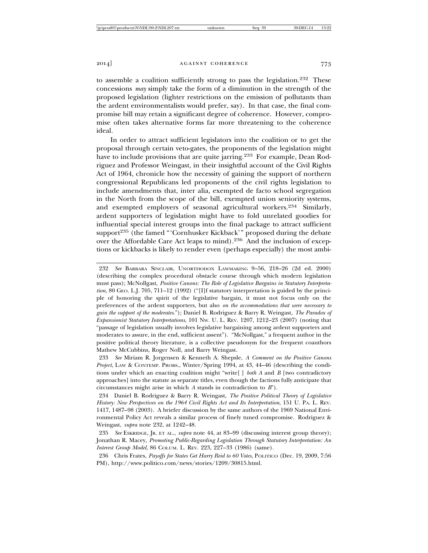to assemble a coalition sufficiently strong to pass the legislation.<sup>232</sup> These concessions *may* simply take the form of a diminution in the strength of the proposed legislation (lighter restrictions on the emission of pollutants than the ardent environmentalists would prefer, say). In that case, the final compromise bill may retain a significant degree of coherence. However, compromise often takes alternative forms far more threatening to the coherence ideal.

In order to attract sufficient legislators into the coalition or to get the proposal through certain veto-gates, the proponents of the legislation might have to include provisions that are quite jarring.<sup>233</sup> For example, Dean Rodriguez and Professor Weingast, in their insightful account of the Civil Rights Act of 1964, chronicle how the necessity of gaining the support of northern congressional Republicans led proponents of the civil rights legislation to include amendments that, inter alia, exempted de facto school segregation in the North from the scope of the bill, exempted union seniority systems, and exempted employers of seasonal agricultural workers.234 Similarly, ardent supporters of legislation might have to fold unrelated goodies for influential special interest groups into the final package to attract sufficient support<sup>235</sup> (the famed "'Cornhusker Kickback'" proposed during the debate over the Affordable Care Act leaps to mind).236 And the inclusion of exceptions or kickbacks is likely to render even (perhaps especially) the most ambi-

<sup>232</sup> *See* BARBARA SINCLAIR, UNORTHODOX LAWMAKING 9–56, 218–26 (2d ed. 2000) (describing the complex procedural obstacle course through which modern legislation must pass); McNollgast, *Positive Canons: The Role of Legislative Bargains in Statutory Interpreta*tion, 80 GEO. L.J. 705, 711-12 (1992) ("[I]f statutory interpretation is guided by the principle of honoring the spirit of the legislative bargain, it must not focus only on the preferences of the ardent supporters, but also *on the accommodations that were necessary to gain the support of the moderates*."); Daniel B. Rodriguez & Barry R. Weingast, *The Paradox of Expansionist Statutory Interpretations*, 101 NW. U. L. REV. 1207, 1212–23 (2007) (noting that "passage of legislation usually involves legislative bargaining among ardent supporters and moderates to assure, in the end, sufficient assent"). "McNollgast," a frequent author in the positive political theory literature, is a collective pseudonym for the frequent coauthors Mathew McCubbins, Roger Noll, and Barry Weingast.

<sup>233</sup> *See* Miriam R. Jorgensen & Kenneth A. Shepsle, *A Comment on the Positive Canons Project*, LAW & CONTEMP. PROBS., Winter/Spring 1994, at 43, 44–46 (describing the conditions under which an enacting coalition might "write[ ] *both A* and *B* [two contradictory approaches] into the statute as separate titles, even though the factions fully anticipate that circumstances might arise in which *A* stands in contradiction to *B*").

<sup>234</sup> Daniel B. Rodriguez & Barry R. Weingast, *The Positive Political Theory of Legislative History: New Perspectives on the 1964 Civil Rights Act and Its Interpretation*, 151 U. PA. L. REV. 1417, 1487–98 (2003). A briefer discussion by the same authors of the 1969 National Environmental Policy Act reveals a similar process of finely tuned compromise. Rodriguez & Weingast, *supra* note 232, at 1242–48.

<sup>235</sup> *See* ESKRIDGE, JR. ET AL., *supra* note 44, at 83–99 (discussing interest group theory); Jonathan R. Macey, *Promoting Public-Regarding Legislation Through Statutory Interpretation: An Interest Group Model*, 86 COLUM. L. REV. 223, 227–33 (1986) (same).

<sup>236</sup> Chris Frates, *Payoffs for States Get Harry Reid to 60 Votes*, POLITICO (Dec. 19, 2009, 7:56 PM), http://www.politico.com/news/stories/1209/30815.html.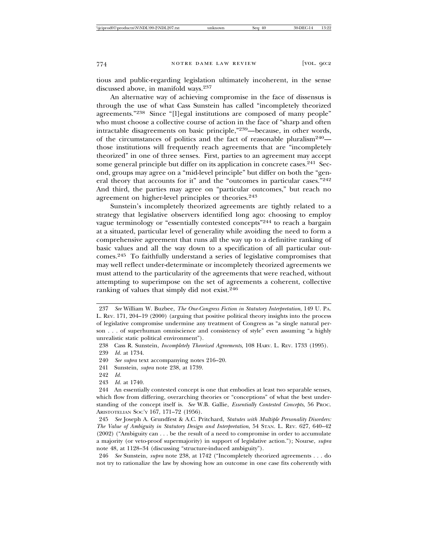tious and public-regarding legislation ultimately incoherent, in the sense discussed above, in manifold ways.<sup>237</sup>

An alternative way of achieving compromise in the face of dissensus is through the use of what Cass Sunstein has called "incompletely theorized agreements."238 Since "[l]egal institutions are composed of many people" who must choose a collective course of action in the face of "sharp and often intractable disagreements on basic principle,"239—because, in other words, of the circumstances of politics and the fact of reasonable pluralism<sup>240</sup> those institutions will frequently reach agreements that are "incompletely theorized" in one of three senses. First, parties to an agreement may accept some general principle but differ on its application in concrete cases.<sup>241</sup> Second, groups may agree on a "mid-level principle" but differ on both the "general theory that accounts for it" and the "outcomes in particular cases."<sup>242</sup> And third, the parties may agree on "particular outcomes," but reach no agreement on higher-level principles or theories.<sup>243</sup>

Sunstein's incompletely theorized agreements are tightly related to a strategy that legislative observers identified long ago: choosing to employ vague terminology or "essentially contested concepts"244 to reach a bargain at a situated, particular level of generality while avoiding the need to form a comprehensive agreement that runs all the way up to a definitive ranking of basic values and all the way down to a specification of all particular outcomes.245 To faithfully understand a series of legislative compromises that may well reflect under-determinate or incompletely theorized agreements we must attend to the particularity of the agreements that were reached, without attempting to superimpose on the set of agreements a coherent, collective ranking of values that simply did not exist.<sup>246</sup>

- 241 Sunstein, *supra* note 238, at 1739.
- 242 *Id.*
- 243 *Id.* at 1740.

<sup>237</sup> *See* William W. Buzbee, *The One-Congress Fiction in Statutory Interpretation*, 149 U. PA. L. REV. 171, 204–19 (2000) (arguing that positive political theory insights into the process of legislative compromise undermine any treatment of Congress as "a single natural person . . . of superhuman omniscience and consistency of style" even assuming "a highly unrealistic static political environment").

<sup>238</sup> Cass R. Sunstein, *Incompletely Theorized Agreements*, 108 HARV. L. REV. 1733 (1995). 239 *Id.* at 1734.

<sup>240</sup> *See supra* text accompanying notes 216–20.

<sup>244</sup> An essentially contested concept is one that embodies at least two separable senses, which flow from differing, overarching theories or "conceptions" of what the best understanding of the concept itself is. *See* W.B. Gallie, *Essentially Contested Concepts*, 56 PROC. ARISTOTELIAN SOC'Y 167, 171–72 (1956).

<sup>245</sup> *See* Joseph A. Grundfest & A.C. Pritchard, *Statutes with Multiple Personality Disorders: The Value of Ambiguity in Statutory Design and Interpretation*, 54 STAN. L. REV. 627, 640–42 (2002) ("Ambiguity can . . . be the result of a need to compromise in order to accumulate a majority (or veto-proof supermajority) in support of legislative action."); Nourse, *supra* note 48, at 1128–34 (discussing "structure-induced ambiguity").

<sup>246</sup> *See* Sunstein, *supra* note 238, at 1742 ("Incompletely theorized agreements . . . do not try to rationalize the law by showing how an outcome in one case fits coherently with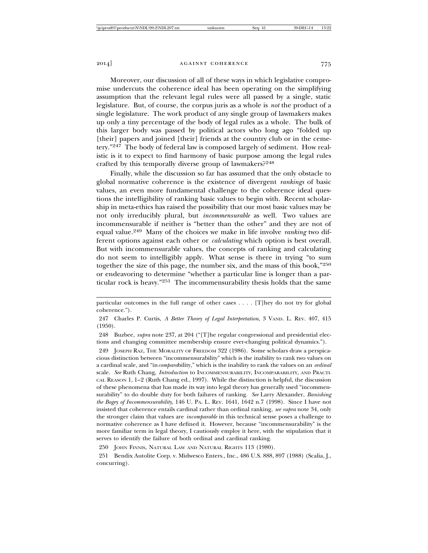Moreover, our discussion of all of these ways in which legislative compromise undercuts the coherence ideal has been operating on the simplifying assumption that the relevant legal rules were all passed by a single, static legislature. But, of course, the corpus juris as a whole is *not* the product of a single legislature. The work product of any single group of lawmakers makes up only a tiny percentage of the body of legal rules as a whole. The bulk of this larger body was passed by political actors who long ago "folded up [their] papers and joined [their] friends at the country club or in the cemetery."247 The body of federal law is composed largely of sediment. How realistic is it to expect to find harmony of basic purpose among the legal rules crafted by this temporally diverse group of lawmakers?<sup>248</sup>

Finally, while the discussion so far has assumed that the only obstacle to global normative coherence is the existence of divergent *rankings* of basic values, an even more fundamental challenge to the coherence ideal questions the intelligibility of ranking basic values to begin with. Recent scholarship in meta-ethics has raised the possibility that our most basic values may be not only irreducibly plural, but *incommensurable* as well. Two values are incommensurable if neither is "better than the other" and they are not of equal value.249 Many of the choices we make in life involve *ranking* two different options against each other or *calculating* which option is best overall. But with incommensurable values, the concepts of ranking and calculating do not seem to intelligibly apply. What sense is there in trying "to sum together the size of this page, the number six, and the mass of this book,"<sup>250</sup> or endeavoring to determine "whether a particular line is longer than a particular rock is heavy."251 The incommensurability thesis holds that the same

particular outcomes in the full range of other cases . . . . [T]hey do not try for global coherence.").

<sup>247</sup> Charles P. Curtis, *A Better Theory of Legal Interpretation*, 3 VAND. L. REV. 407, 415 (1950).

<sup>248</sup> Buzbee, *supra* note 237, at 204 ("[T]he regular congressional and presidential elections and changing committee membership ensure ever-changing political dynamics.").

<sup>249</sup> JOSEPH RAZ, THE MORALITY OF FREEDOM 322 (1986). Some scholars draw a perspicacious distinction between "incommensurability" which is the inability to rank two values on a cardinal scale, and "in*compara*bility," which is the inability to rank the values on an *ordinal* scale. *See* Ruth Chang, *Introduction* to INCOMMENSURABILITY, INCOMPARABILITY, AND PRACTI-CAL REASON 1, 1–2 (Ruth Chang ed., 1997). While the distinction is helpful, the discussion of these phenomena that has made its way into legal theory has generally used "incommensurability" to do double duty for both failures of ranking. *See* Larry Alexander, *Banishing the Bogey of Incommensurability*, 146 U. PA. L. REV. 1641, 1642 n.7 (1998). Since I have not insisted that coherence entails cardinal rather than ordinal ranking, *see supra* note 34, only the stronger claim that values are *incomparable* in this technical sense poses a challenge to normative coherence as I have defined it. However, because "incommensurability" is the more familiar term in legal theory, I cautiously employ it here, with the stipulation that it serves to identify the failure of both ordinal and cardinal ranking.

<sup>250</sup> JOHN FINNIS, NATURAL LAW AND NATURAL RIGHTS 113 (1980).

<sup>251</sup> Bendix Autolite Corp. v. Midwesco Enters., Inc., 486 U.S. 888, 897 (1988) (Scalia, J., concurring).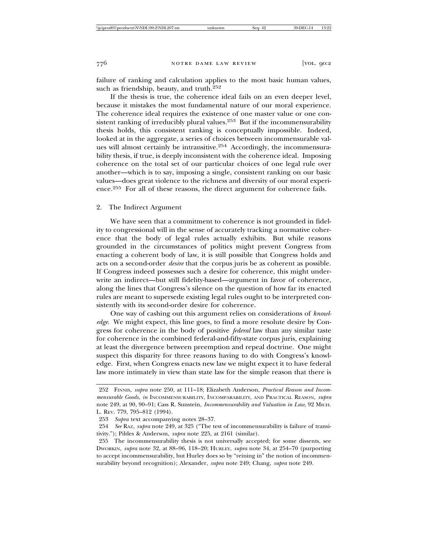failure of ranking and calculation applies to the most basic human values, such as friendship, beauty, and truth.<sup>252</sup>

If the thesis is true, the coherence ideal fails on an even deeper level, because it mistakes the most fundamental nature of our moral experience. The coherence ideal requires the existence of one master value or one consistent ranking of irreducibly plural values.<sup>253</sup> But if the incommensurability thesis holds, this consistent ranking is conceptually impossible. Indeed, looked at in the aggregate, a series of choices between incommensurable values will almost certainly be intransitive.254 Accordingly, the incommensurability thesis, if true, is deeply inconsistent with the coherence ideal. Imposing coherence on the total set of our particular choices of one legal rule over another—which is to say, imposing a single, consistent ranking on our basic values—does great violence to the richness and diversity of our moral experience.255 For all of these reasons, the direct argument for coherence fails.

2. The Indirect Argument

We have seen that a commitment to coherence is not grounded in fidelity to congressional will in the sense of accurately tracking a normative coherence that the body of legal rules actually exhibits. But while reasons grounded in the circumstances of politics might prevent Congress from enacting a coherent body of law, it is still possible that Congress holds and acts on a second-order *desire* that the corpus juris be as coherent as possible. If Congress indeed possesses such a desire for coherence, this might underwrite an indirect—but still fidelity-based—argument in favor of coherence, along the lines that Congress's silence on the question of how far its enacted rules are meant to supersede existing legal rules ought to be interpreted consistently with its second-order desire for coherence.

One way of cashing out this argument relies on considerations of *knowledge*. We might expect, this line goes, to find a more resolute desire by Congress for coherence in the body of positive *federal* law than any similar taste for coherence in the combined federal-and-fifty-state corpus juris, explaining at least the divergence between preemption and repeal doctrine. One might suspect this disparity for three reasons having to do with Congress's knowledge. First, when Congress enacts new law we might expect it to have federal law more intimately in view than state law for the simple reason that there is

<sup>252</sup> FINNIS, *supra* note 250, at 111–18; Elizabeth Anderson, *Practical Reason and Incommensurable Goods*, *in* INCOMMENSURABILITY, INCOMPARABILITY, AND PRACTICAL REASON, *supra* note 249, at 90, 90–91; Cass R. Sunstein, *Incommensurability and Valuation in Law*, 92 MICH. L. REV. 779, 795–812 (1994).

<sup>253</sup> *Supra* text accompanying notes 28–37.

<sup>254</sup> *See* RAZ, *supra* note 249, at 325 ("The test of incommensurability is failure of transitivity."); Pildes & Anderson, *supra* note 225, at 2161 (similar).

<sup>255</sup> The incommensurability thesis is not universally accepted; for some dissents, see DWORKIN, *supra* note 32, at 88–96, 118–20; HURLEY, *supra* note 34, at 254–70 (purporting to accept incommensurability, but Hurley does so by "reining in" the notion of incommensurability beyond recognition); Alexander, *supra* note 249; Chang, *supra* note 249.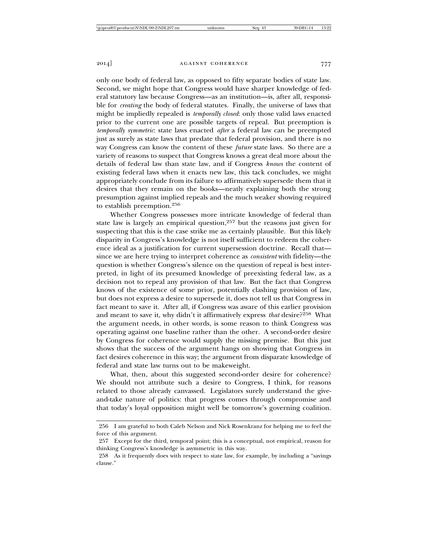only one body of federal law, as opposed to fifty separate bodies of state law. Second, we might hope that Congress would have sharper knowledge of federal statutory law because Congress—as an institution—is, after all, responsible for *creating* the body of federal statutes. Finally, the universe of laws that might be impliedly repealed is *temporally closed*: only those valid laws enacted prior to the current one are possible targets of repeal. But preemption is *temporally symmetric*: state laws enacted *after* a federal law can be preempted just as surely as state laws that predate that federal provision, and there is no way Congress can know the content of these *future* state laws. So there are a variety of reasons to suspect that Congress knows a great deal more about the details of federal law than state law, and if Congress *knows* the content of existing federal laws when it enacts new law, this tack concludes, we might appropriately conclude from its failure to affirmatively supersede them that it desires that they remain on the books—neatly explaining both the strong presumption against implied repeals and the much weaker showing required to establish preemption.256

Whether Congress possesses more intricate knowledge of federal than state law is largely an empirical question,257 but the reasons just given for suspecting that this is the case strike me as certainly plausible. But this likely disparity in Congress's knowledge is not itself sufficient to redeem the coherence ideal as a justification for current supersession doctrine. Recall that since we are here trying to interpret coherence as *consistent* with fidelity—the question is whether Congress's silence on the question of repeal is best interpreted, in light of its presumed knowledge of preexisting federal law, as a decision not to repeal any provision of that law. But the fact that Congress knows of the existence of some prior, potentially clashing provision of law, but does not express a desire to supersede it, does not tell us that Congress in fact meant to save it. After all, if Congress was aware of this earlier provision and meant to save it, why didn't it affirmatively express *that* desire?258 What the argument needs, in other words, is some reason to think Congress was operating against one baseline rather than the other. A second-order desire by Congress for coherence would supply the missing premise. But this just shows that the success of the argument hangs on showing that Congress in fact desires coherence in this way; the argument from disparate knowledge of federal and state law turns out to be makeweight.

What, then, about this suggested second-order desire for coherence? We should not attribute such a desire to Congress, I think, for reasons related to those already canvassed. Legislators surely understand the giveand-take nature of politics: that progress comes through compromise and that today's loyal opposition might well be tomorrow's governing coalition.

<sup>256</sup> I am grateful to both Caleb Nelson and Nick Rosenkranz for helping me to feel the force of this argument.

<sup>257</sup> Except for the third, temporal point; this is a conceptual, not empirical, reason for thinking Congress's knowledge is asymmetric in this way.

<sup>258</sup> As it frequently does with respect to state law, for example, by including a "savings clause."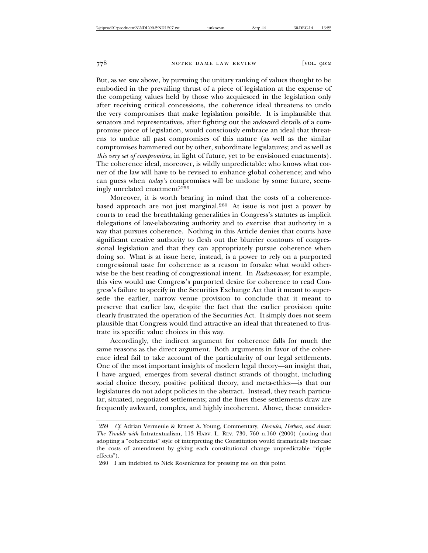But, as we saw above, by pursuing the unitary ranking of values thought to be embodied in the prevailing thrust of a piece of legislation at the expense of the competing values held by those who acquiesced in the legislation only after receiving critical concessions, the coherence ideal threatens to undo the very compromises that make legislation possible. It is implausible that senators and representatives, after fighting out the awkward details of a compromise piece of legislation, would consciously embrace an ideal that threatens to undue all past compromises of this nature (as well as the similar compromises hammered out by other, subordinate legislatures; and as well as *this very set of compromises*, in light of future, yet to be envisioned enactments). The coherence ideal, moreover, is wildly unpredictable: who knows what corner of the law will have to be revised to enhance global coherence; and who can guess when *today's* compromises will be undone by some future, seemingly unrelated enactment?<sup>259</sup>

Moreover, it is worth bearing in mind that the costs of a coherencebased approach are not just marginal.260 At issue is not just a power by courts to read the breathtaking generalities in Congress's statutes as implicit delegations of law-elaborating authority and to exercise that authority in a way that pursues coherence. Nothing in this Article denies that courts have significant creative authority to flesh out the blurrier contours of congressional legislation and that they can appropriately pursue coherence when doing so. What is at issue here, instead, is a power to rely on a purported congressional taste for coherence as a reason to forsake what would otherwise be the best reading of congressional intent. In *Radzanower*, for example, this view would use Congress's purported desire for coherence to read Congress's failure to specify in the Securities Exchange Act that it meant to supersede the earlier, narrow venue provision to conclude that it meant to preserve that earlier law, despite the fact that the earlier provision quite clearly frustrated the operation of the Securities Act. It simply does not seem plausible that Congress would find attractive an ideal that threatened to frustrate its specific value choices in this way.

Accordingly, the indirect argument for coherence falls for much the same reasons as the direct argument. Both arguments in favor of the coherence ideal fail to take account of the particularity of our legal settlements. One of the most important insights of modern legal theory—an insight that, I have argued, emerges from several distinct strands of thought, including social choice theory, positive political theory, and meta-ethics—is that our legislatures do not adopt policies in the abstract. Instead, they reach particular, situated, negotiated settlements; and the lines these settlements draw are frequently awkward, complex, and highly incoherent. Above, these consider-

<sup>259</sup> *Cf.* Adrian Vermeule & Ernest A. Young, Commentary, *Hercules, Herbert, and Amar: The Trouble with* Intratextualism, 113 HARV. L. REV. 730, 760 n.160 (2000) (noting that adopting a "coherentist" style of interpreting the Constitution would dramatically increase the costs of amendment by giving each constitutional change unpredictable "ripple effects").

<sup>260</sup> I am indebted to Nick Rosenkranz for pressing me on this point.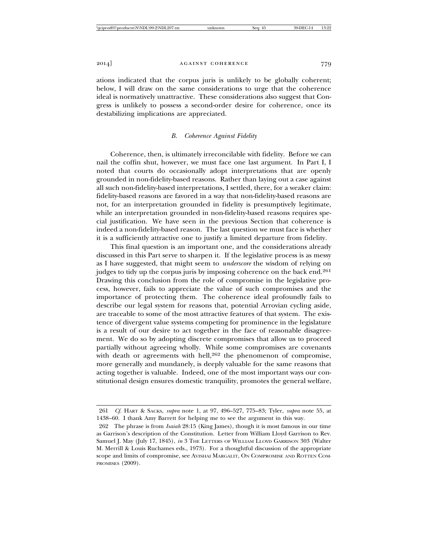ations indicated that the corpus juris is unlikely to be globally coherent; below, I will draw on the same considerations to urge that the coherence ideal is normatively unattractive. These considerations also suggest that Congress is unlikely to possess a second-order desire for coherence, once its destabilizing implications are appreciated.

#### *B. Coherence Against Fidelity*

Coherence, then, is ultimately irreconcilable with fidelity. Before we can nail the coffin shut, however, we must face one last argument. In Part I, I noted that courts do occasionally adopt interpretations that are openly grounded in non-fidelity-based reasons. Rather than laying out a case against all such non-fidelity-based interpretations, I settled, there, for a weaker claim: fidelity-based reasons are favored in a way that non-fidelity-based reasons are not, for an interpretation grounded in fidelity is presumptively legitimate, while an interpretation grounded in non-fidelity-based reasons requires special justification. We have seen in the previous Section that coherence is indeed a non-fidelity-based reason. The last question we must face is whether it is a sufficiently attractive one to justify a limited departure from fidelity.

This final question is an important one, and the considerations already discussed in this Part serve to sharpen it. If the legislative process is as messy as I have suggested, that might seem to *underscore* the wisdom of relying on judges to tidy up the corpus juris by imposing coherence on the back end.<sup>261</sup> Drawing this conclusion from the role of compromise in the legislative process, however, fails to appreciate the value of such compromises and the importance of protecting them. The coherence ideal profoundly fails to describe our legal system for reasons that, potential Arrovian cycling aside, are traceable to some of the most attractive features of that system. The existence of divergent value systems competing for prominence in the legislature is a result of our desire to act together in the face of reasonable disagreement. We do so by adopting discrete compromises that allow us to proceed partially without agreeing wholly. While some compromises are covenants with death or agreements with hell,<sup>262</sup> the phenomenon of compromise, more generally and mundanely, is deeply valuable for the same reasons that acting together is valuable. Indeed, one of the most important ways our constitutional design ensures domestic tranquility, promotes the general welfare,

<sup>261</sup> *Cf.* HART & SACKS, *supra* note 1, at 97, 496–527, 775–83; Tyler, *supra* note 55, at 1438–60. I thank Amy Barrett for helping me to see the argument in this way.

<sup>262</sup> The phrase is from *Isaiah* 28:15 (King James), though it is most famous in our time as Garrison's description of the Constitution. Letter from William Lloyd Garrison to Rev. Samuel J. May (July 17, 1845), *in* 3 THE LETTERS OF WILLIAM LLOYD GARRISON 303 (Walter M. Merrill & Louis Ruchames eds., 1973). For a thoughtful discussion of the appropriate scope and limits of compromise, see AVISHAI MARGALIT, ON COMPROMISE AND ROTTEN COM-PROMISES (2009).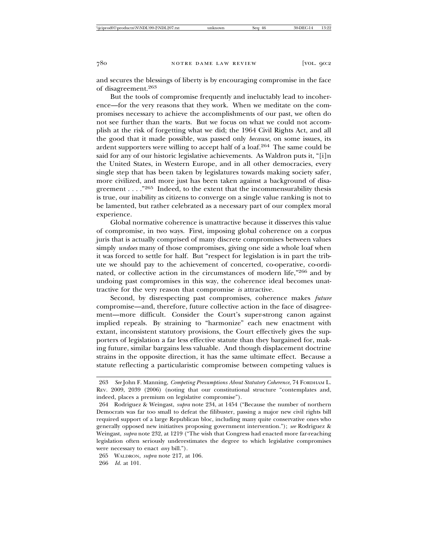and secures the blessings of liberty is by encouraging compromise in the face of disagreement.<sup>263</sup>

But the tools of compromise frequently and ineluctably lead to incoherence—for the very reasons that they work. When we meditate on the compromises necessary to achieve the accomplishments of our past, we often do not see further than the warts. But we focus on what we could not accomplish at the risk of forgetting what we did; the 1964 Civil Rights Act, and all the good that it made possible, was passed only *because*, on some issues, its ardent supporters were willing to accept half of a loaf.264 The same could be said for any of our historic legislative achievements. As Waldron puts it, "[i]n the United States, in Western Europe, and in all other democracies, every single step that has been taken by legislatures towards making society safer, more civilized, and more just has been taken against a background of disagreement . . . ."265 Indeed, to the extent that the incommensurability thesis is true, our inability as citizens to converge on a single value ranking is not to be lamented, but rather celebrated as a necessary part of our complex moral experience.

Global normative coherence is unattractive because it disserves this value of compromise, in two ways. First, imposing global coherence on a corpus juris that is actually comprised of many discrete compromises between values simply *undoes* many of those compromises, giving one side a whole loaf when it was forced to settle for half. But "respect for legislation is in part the tribute we should pay to the achievement of concerted, co-operative, co-ordinated, or collective action in the circumstances of modern life,"266 and by undoing past compromises in this way, the coherence ideal becomes unattractive for the very reason that compromise *is* attractive.

Second, by disrespecting past compromises, coherence makes *future* compromise—and, therefore, future collective action in the face of disagreement—more difficult. Consider the Court's super-strong canon against implied repeals. By straining to "harmonize" each new enactment with extant, inconsistent statutory provisions, the Court effectively gives the supporters of legislation a far less effective statute than they bargained for, making future, similar bargains less valuable. And though displacement doctrine strains in the opposite direction, it has the same ultimate effect. Because a statute reflecting a particularistic compromise between competing values is

<sup>263</sup> *See* John F. Manning, *Competing Presumptions About Statutory Coherence*, 74 FORDHAM L. REV. 2009, 2039 (2006) (noting that our constitutional structure "contemplates and, indeed, places a premium on legislative compromise").

<sup>264</sup> Rodriguez & Weingast, *supra* note 234, at 1454 ("Because the number of northern Democrats was far too small to defeat the filibuster, passing a major new civil rights bill required support of a large Republican bloc, including many quite conservative ones who generally opposed new initiatives proposing government intervention."); *see* Rodriguez & Weingast, *supra* note 232, at 1219 ("The wish that Congress had enacted more far-reaching legislation often seriously underestimates the degree to which legislative compromises were necessary to enact *any* bill.").

<sup>265</sup> WALDRON, *supra* note 217, at 106.

<sup>266</sup> *Id.* at 101.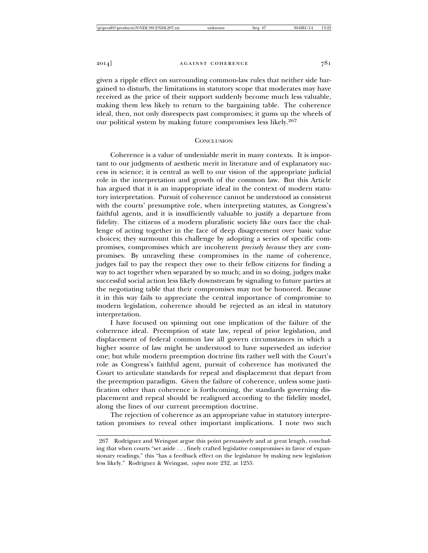given a ripple effect on surrounding common-law rules that neither side bargained to disturb, the limitations in statutory scope that moderates may have received as the price of their support suddenly become much less valuable, making them less likely to return to the bargaining table. The coherence ideal, then, not only disrespects past compromises; it gums up the wheels of our political system by making future compromises less likely.<sup>267</sup>

#### **CONCLUSION**

Coherence is a value of undeniable merit in many contexts. It is important to our judgments of aesthetic merit in literature and of explanatory success in science; it is central as well to our vision of the appropriate judicial role in the interpretation and growth of the common law. But this Article has argued that it is an inappropriate ideal in the context of modern statutory interpretation. Pursuit of coherence cannot be understood as consistent with the courts' presumptive role, when interpreting statutes, as Congress's faithful agents, and it is insufficiently valuable to justify a departure from fidelity. The citizens of a modern pluralistic society like ours face the challenge of acting together in the face of deep disagreement over basic value choices; they surmount this challenge by adopting a series of specific compromises, compromises which are incoherent *precisely because* they are compromises. By unraveling these compromises in the name of coherence, judges fail to pay the respect they owe to their fellow citizens for finding a way to act together when separated by so much; and in so doing, judges make successful social action less likely downstream by signaling to future parties at the negotiating table that their compromises may not be honored. Because it in this way fails to appreciate the central importance of compromise to modern legislation, coherence should be rejected as an ideal in statutory interpretation.

I have focused on spinning out one implication of the failure of the coherence ideal. Preemption of state law, repeal of prior legislation, and displacement of federal common law all govern circumstances in which a higher source of law might be understood to have superseded an inferior one; but while modern preemption doctrine fits rather well with the Court's role as Congress's faithful agent, pursuit of coherence has motivated the Court to articulate standards for repeal and displacement that depart from the preemption paradigm. Given the failure of coherence, unless some justification other than coherence is forthcoming, the standards governing displacement and repeal should be realigned according to the fidelity model, along the lines of our current preemption doctrine.

The rejection of coherence as an appropriate value in statutory interpretation promises to reveal other important implications. I note two such

<sup>267</sup> Rodriguez and Weingast argue this point persuasively and at great length, concluding that when courts "set aside . . . finely crafted legislative compromises in favor of expansionary readings," this "has a feedback effect on the legislature by making new legislation less likely." Rodriguez & Weingast, *supra* note 232, at 1255.